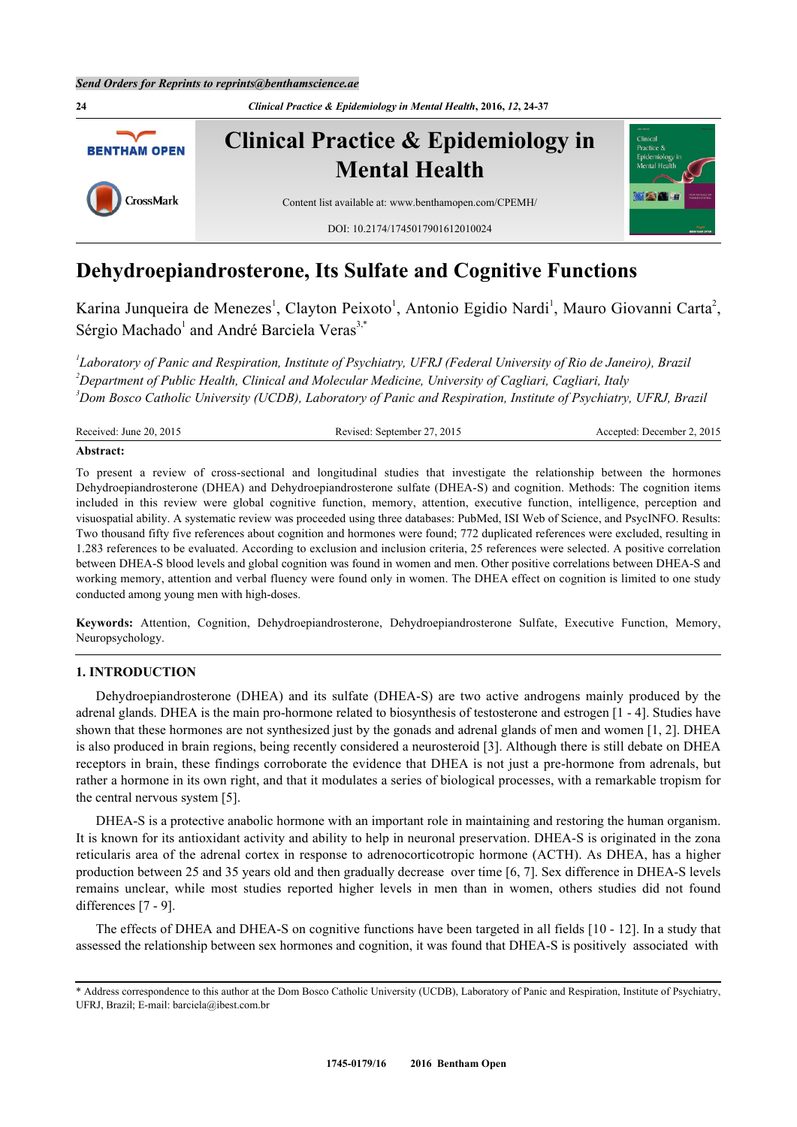

# **Dehydroepiandrosterone, Its Sulfate and Cognitive Functions**

Karina Junqueira de Menezes<sup>[1](#page-0-0)</sup>, Clayton Peixoto<sup>1</sup>, Antonio Egidio Nardi<sup>1</sup>, Mauro Giovanni Carta<sup>[2](#page-0-1)</sup>, Sérgio Machado<sup>[1](#page-0-0)</sup> and André Barciela Veras<sup>[3,](#page-0-2)[\\*](#page-0-3)</sup>

<span id="page-0-1"></span><span id="page-0-0"></span>*1 Laboratory of Panic and Respiration, Institute of Psychiatry, UFRJ (Federal University of Rio de Janeiro), Brazil <sup>2</sup>Department of Public Health, Clinical and Molecular Medicine, University of Cagliari, Cagliari, Italy <sup>3</sup>Dom Bosco Catholic University (UCDB), Laboratory of Panic and Respiration, Institute of Psychiatry, UFRJ, Brazil*

<span id="page-0-2"></span>

| Received: June 20, 2015 | Revised: September 27, 2015 | Accepted: December 2, 2015 |
|-------------------------|-----------------------------|----------------------------|
| Abstract:               |                             |                            |

To present a review of cross-sectional and longitudinal studies that investigate the relationship between the hormones Dehydroepiandrosterone (DHEA) and Dehydroepiandrosterone sulfate (DHEA-S) and cognition. Methods: The cognition items included in this review were global cognitive function, memory, attention, executive function, intelligence, perception and visuospatial ability. A systematic review was proceeded using three databases: PubMed, ISI Web of Science, and PsycINFO. Results: Two thousand fifty five references about cognition and hormones were found; 772 duplicated references were excluded, resulting in 1.283 references to be evaluated. According to exclusion and inclusion criteria, 25 references were selected. A positive correlation between DHEA-S blood levels and global cognition was found in women and men. Other positive correlations between DHEA-S and working memory, attention and verbal fluency were found only in women. The DHEA effect on cognition is limited to one study conducted among young men with high-doses.

**Keywords:** Attention, Cognition, Dehydroepiandrosterone, Dehydroepiandrosterone Sulfate, Executive Function, Memory, Neuropsychology.

# **1. INTRODUCTION**

Dehydroepiandrosterone (DHEA) and its sulfate (DHEA-S) are two active androgens mainly produced by the adrenal glands. DHEA is the main pro-hormone related to biosynthesis of testosterone and estrogen [[1](#page-10-0) - [4](#page-10-1)]. Studies have shown that these hormones are not synthesized just by the gonads and adrenal glands of men and women [[1](#page-10-0), [2](#page-10-2)]. DHEA is also produced in brain regions, being recently considered a neurosteroid [\[3](#page-10-3)]. Although there is still debate on DHEA receptors in brain, these findings corroborate the evidence that DHEA is not just a pre-hormone from adrenals, but rather a hormone in its own right, and that it modulates a series of biological processes, with a remarkable tropism for the central nervous system [[5\]](#page-10-4).

DHEA-S is a protective anabolic hormone with an important role in maintaining and restoring the human organism. It is known for its antioxidant activity and ability to help in neuronal preservation. DHEA-S is originated in the zona reticularis area of the adrenal cortex in response to adrenocorticotropic hormone (ACTH). As DHEA, has a higher production between 25 and 35 years old and then gradually decrease over time [\[6](#page-10-5), [7](#page-10-6)]. Sex difference in DHEA-S levels remains unclear, while most studies reported higher levels in men than in women, others studies did not found differences [[7](#page-10-6) - [9](#page-10-7)].

The effects of DHEA and DHEA-S on cognitive functions have been targeted in all fields [[10](#page-10-8) - [12\]](#page-11-0). In a study that assessed the relationship between sex hormones and cognition, it was found that DHEA-S is positively associated with

<span id="page-0-3"></span><sup>\*</sup> Address correspondence to this author at the Dom Bosco Catholic University (UCDB), Laboratory of Panic and Respiration, Institute of Psychiatry, UFRJ, Brazil; E-mail: [barciela@ibest.com.br](mailto:barciela@ibest.com.br)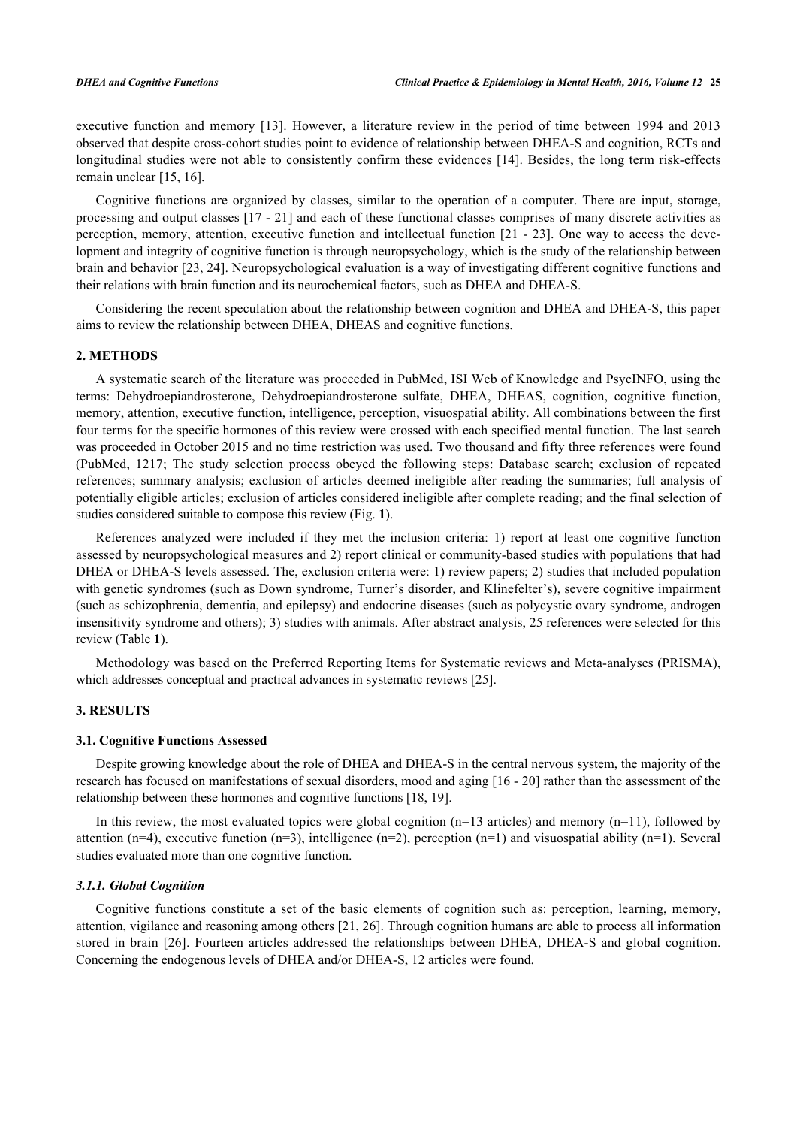executive function and memory [\[13](#page-11-1)]. However, a literature review in the period of time between 1994 and 2013 observed that despite cross-cohort studies point to evidence of relationship between DHEA-S and cognition, RCTs and longitudinal studies were not able to consistently confirm these evidences [[14\]](#page-11-2). Besides, the long term risk-effects remain unclear [\[15](#page-11-3), [16](#page-11-4)].

Cognitive functions are organized by classes, similar to the operation of a computer. There are input, storage, processing and output classes [\[17](#page-11-5) - [21](#page-11-6)] and each of these functional classes comprises of many discrete activities as perception, memory, attention, executive function and intellectual function [\[21](#page-11-6) - [23](#page-11-7)]. One way to access the development and integrity of cognitive function is through neuropsychology, which is the study of the relationship between brain and behavior [\[23](#page-11-7), [24\]](#page-11-8). Neuropsychological evaluation is a way of investigating different cognitive functions and their relations with brain function and its neurochemical factors, such as DHEA and DHEA-S.

Considering the recent speculation about the relationship between cognition and DHEA and DHEA-S, this paper aims to review the relationship between DHEA, DHEAS and cognitive functions.

#### **2. METHODS**

A systematic search of the literature was proceeded in PubMed, ISI Web of Knowledge and PsycINFO, using the terms: Dehydroepiandrosterone, Dehydroepiandrosterone sulfate, DHEA, DHEAS, cognition, cognitive function, memory, attention, executive function, intelligence, perception, visuospatial ability. All combinations between the first four terms for the specific hormones of this review were crossed with each specified mental function. The last search was proceeded in October 2015 and no time restriction was used. Two thousand and fifty three references were found (PubMed, 1217; The study selection process obeyed the following steps: Database search; exclusion of repeated references; summary analysis; exclusion of articles deemed ineligible after reading the summaries; full analysis of potentially eligible articles; exclusion of articles considered ineligible after complete reading; and the final selection of studies considered suitable to compose this review (Fig. **[1](#page-1-0)**).

References analyzed were included if they met the inclusion criteria: 1) report at least one cognitive function assessed by neuropsychological measures and 2) report clinical or community-based studies with populations that had DHEA or DHEA-S levels assessed. The, exclusion criteria were: 1) review papers; 2) studies that included population with genetic syndromes (such as Down syndrome, Turner's disorder, and Klinefelter's), severe cognitive impairment (such as schizophrenia, dementia, and epilepsy) and endocrine diseases (such as polycystic ovary syndrome, androgen insensitivity syndrome and others); 3) studies with animals. After abstract analysis, 25 references were selected for this review (Table **[1](#page-5-0)**).

Methodology was based on the Preferred Reporting Items for Systematic reviews and Meta-analyses (PRISMA), which addresses conceptual and practical advances in systematic reviews [\[25](#page-11-9)].

# **3. RESULTS**

#### **3.1. Cognitive Functions Assessed**

Despite growing knowledge about the role of DHEA and DHEA-S in the central nervous system, the majority of the research has focused on manifestations of sexual disorders, mood and aging [\[16](#page-11-4) - [20](#page-11-10)] rather than the assessment of the relationship between these hormones and cognitive functions [[18](#page-11-11)[, 19\]](#page-11-12).

In this review, the most evaluated topics were global cognition  $(n=13 \text{ articles})$  and memory  $(n=11)$ , followed by attention (n=4), executive function (n=3), intelligence (n=2), perception (n=1) and visuospatial ability (n=1). Several studies evaluated more than one cognitive function.

#### *3.1.1. Global Cognition*

<span id="page-1-0"></span>Cognitive functions constitute a set of the basic elements of cognition such as: perception, learning, memory, attention, vigilance and reasoning among others [[21](#page-11-6)[, 26\]](#page-11-13). Through cognition humans are able to process all information stored in brain [[26\]](#page-11-13). Fourteen articles addressed the relationships between DHEA, DHEA-S and global cognition. Concerning the endogenous levels of DHEA and/or DHEA-S, 12 articles were found.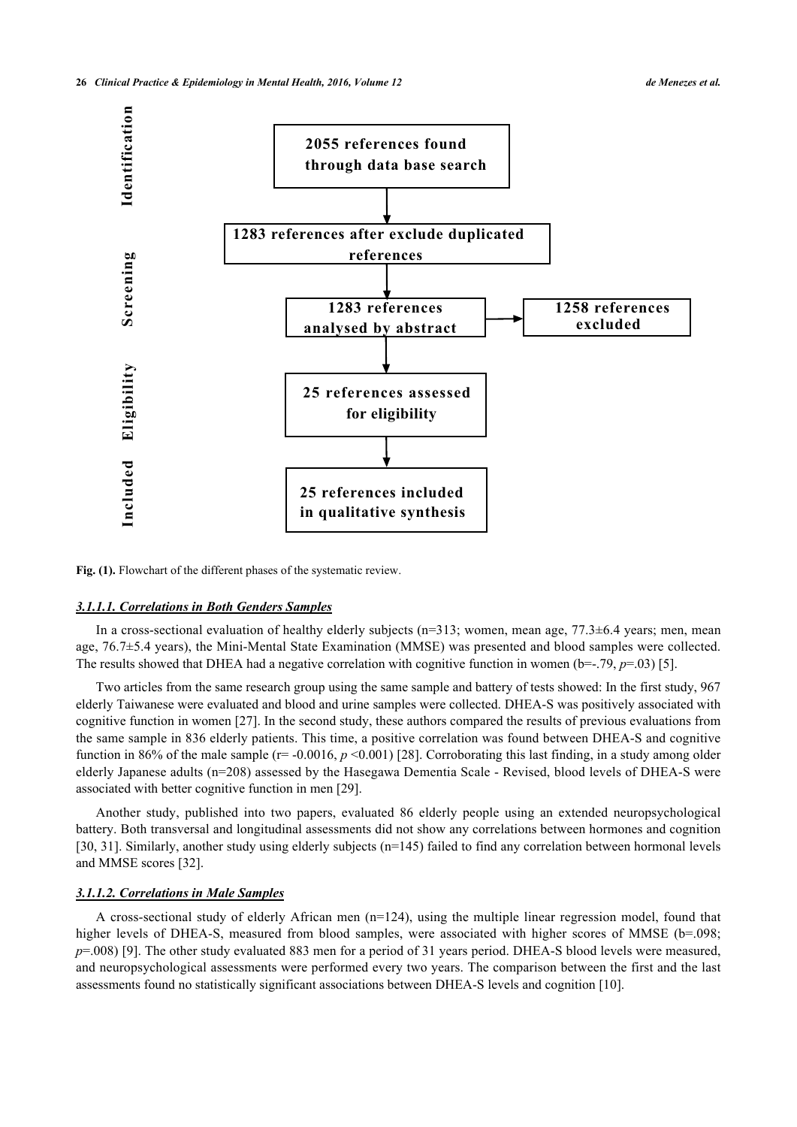

Fig. (1). Flowchart of the different phases of the systematic review.

#### *3.1.1.1. Correlations in Both Genders Samples*

In a cross-sectional evaluation of healthy elderly subjects (n=313; women, mean age, 77.3±6.4 years; men, mean age, 76.7±5.4 years), the Mini-Mental State Examination (MMSE) was presented and blood samples were collected. The results showed that DHEA had a negative correlation with cognitive function in women  $(b=-.79, p=.03)$  [\[5](#page-10-4)].

Two articles from the same research group using the same sample and battery of tests showed: In the first study, 967 elderly Taiwanese were evaluated and blood and urine samples were collected. DHEA-S was positively associated with cognitive function in women [[27\]](#page-11-14). In the second study, these authors compared the results of previous evaluations from the same sample in 836 elderly patients. This time, a positive correlation was found between DHEA-S and cognitive function in 86% of the male sample ( $r = -0.0016$ ,  $p \le 0.001$ ) [[28\]](#page-11-15). Corroborating this last finding, in a study among older elderly Japanese adults (n=208) assessed by the Hasegawa Dementia Scale - Revised, blood levels of DHEA-S were associated with better cognitive function in men [[29\]](#page-11-16).

Another study, published into two papers, evaluated 86 elderly people using an extended neuropsychological battery. Both transversal and longitudinal assessments did not show any correlations between hormones and cognition [\[30](#page-11-17), [31](#page-11-18)]. Similarly, another study using elderly subjects (n=145) failed to find any correlation between hormonal levels and MMSE scores [\[32](#page-11-19)].

#### *3.1.1.2. Correlations in Male Samples*

A cross-sectional study of elderly African men (n=124), using the multiple linear regression model, found that higher levels of DHEA-S, measured from blood samples, were associated with higher scores of MMSE (b=.098; *p*=.008) [[9\]](#page-10-7). The other study evaluated 883 men for a period of 31 years period. DHEA-S blood levels were measured, and neuropsychological assessments were performed every two years. The comparison between the first and the last assessments found no statistically significant associations between DHEA-S levels and cognition [[10\]](#page-10-8).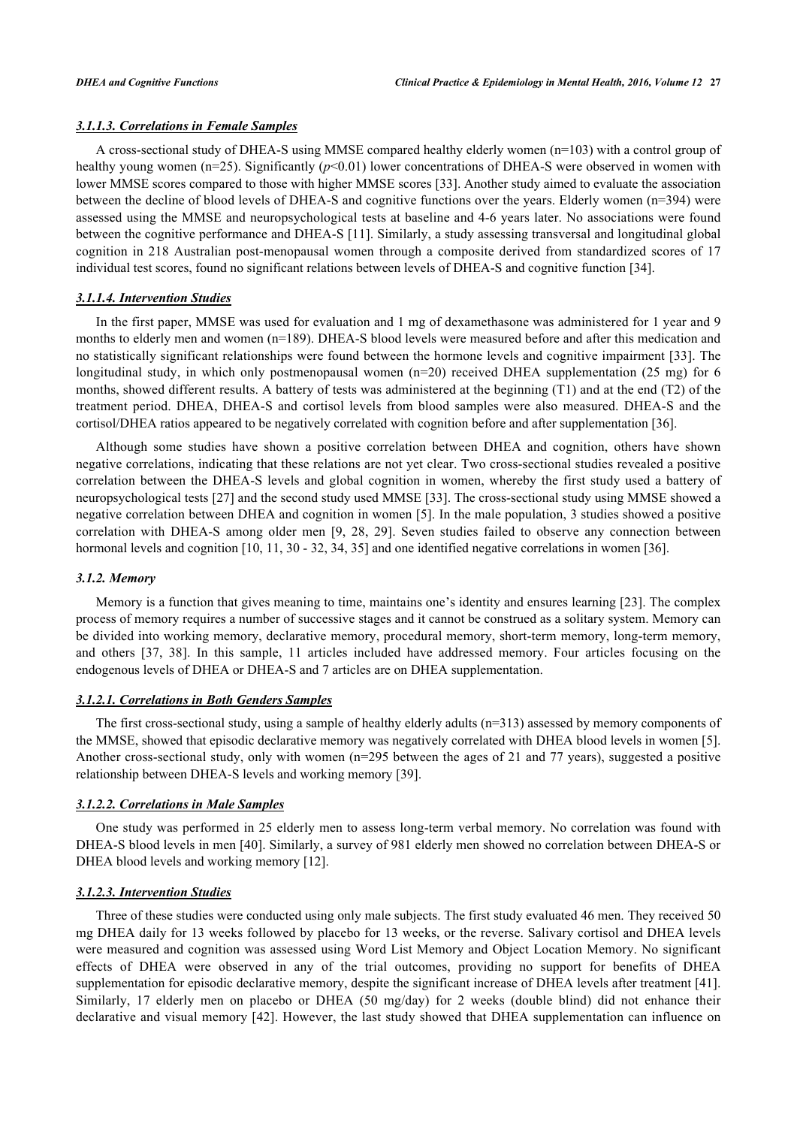#### *3.1.1.3. Correlations in Female Samples*

A cross-sectional study of DHEA-S using MMSE compared healthy elderly women (n=103) with a control group of healthy young women (n=25). Significantly ( $p$ <0.01) lower concentrations of DHEA-S were observed in women with lower MMSE scores compared to those with higher MMSE scores [\[33](#page-12-0)]. Another study aimed to evaluate the association between the decline of blood levels of DHEA-S and cognitive functions over the years. Elderly women (n=394) were assessed using the MMSE and neuropsychological tests at baseline and 4-6 years later. No associations were found between the cognitive performance and DHEA-S [\[11](#page-11-20)]. Similarly, a study assessing transversal and longitudinal global cognition in 218 Australian post-menopausal women through a composite derived from standardized scores of 17 individual test scores, found no significant relations between levels of DHEA-S and cognitive function [[34\]](#page-12-1).

#### *3.1.1.4. Intervention Studies*

In the first paper, MMSE was used for evaluation and 1 mg of dexamethasone was administered for 1 year and 9 months to elderly men and women (n=189). DHEA-S blood levels were measured before and after this medication and no statistically significant relationships were found between the hormone levels and cognitive impairment [[33\]](#page-12-0). The longitudinal study, in which only postmenopausal women (n=20) received DHEA supplementation (25 mg) for 6 months, showed different results. A battery of tests was administered at the beginning (T1) and at the end (T2) of the treatment period. DHEA, DHEA-S and cortisol levels from blood samples were also measured. DHEA-S and the cortisol/DHEA ratios appeared to be negatively correlated with cognition before and after supplementation [\[36](#page-12-2)].

Although some studies have shown a positive correlation between DHEA and cognition, others have shown negative correlations, indicating that these relations are not yet clear. Two cross-sectional studies revealed a positive correlation between the DHEA-S levels and global cognition in women, whereby the first study used a battery of neuropsychological tests [[27\]](#page-11-14) and the second study used MMSE [[33](#page-12-0)]. The cross-sectional study using MMSE showed a negative correlation between DHEA and cognition in women [\[5](#page-10-4)]. In the male population, 3 studies showed a positive correlation with DHEA-S among older men[[9,](#page-10-7) [28](#page-11-15)[, 29\]](#page-11-16). Seven studies failed to observe any connection between hormonal levels and cognition [[10](#page-10-8)[, 11](#page-11-20)[, 30](#page-11-17) - [32](#page-11-19), [34](#page-12-1), [35](#page-12-3)] and one identified negative correlations in women [\[36](#page-12-2)].

#### *3.1.2. Memory*

Memory is a function that gives meaning to time, maintains one's identity and ensures learning [[23\]](#page-11-7). The complex process of memory requires a number of successive stages and it cannot be construed as a solitary system. Memory can be divided into working memory, declarative memory, procedural memory, short-term memory, long-term memory, and others[[37](#page-12-4), [38](#page-12-5)]. In this sample, 11 articles included have addressed memory. Four articles focusing on the endogenous levels of DHEA or DHEA-S and 7 articles are on DHEA supplementation.

#### *3.1.2.1. Correlations in Both Genders Samples*

The first cross-sectional study, using a sample of healthy elderly adults (n=313) assessed by memory components of the MMSE, showed that episodic declarative memory was negatively correlated with DHEA blood levels in women [[5\]](#page-10-4). Another cross-sectional study, only with women (n=295 between the ages of 21 and 77 years), suggested a positive relationship between DHEA-S levels and working memory [\[39](#page-12-6)].

#### *3.1.2.2. Correlations in Male Samples*

One study was performed in 25 elderly men to assess long-term verbal memory. No correlation was found with DHEA-S blood levels in men [[40\]](#page-12-7). Similarly, a survey of 981 elderly men showed no correlation between DHEA-S or DHEA blood levels and working memory [\[12](#page-11-0)].

#### *3.1.2.3. Intervention Studies*

Three of these studies were conducted using only male subjects. The first study evaluated 46 men. They received 50 mg DHEA daily for 13 weeks followed by placebo for 13 weeks, or the reverse. Salivary cortisol and DHEA levels were measured and cognition was assessed using Word List Memory and Object Location Memory. No significant effects of DHEA were observed in any of the trial outcomes, providing no support for benefits of DHEA supplementation for episodic declarative memory, despite the significant increase of DHEA levels after treatment [[41\]](#page-12-8). Similarly, 17 elderly men on placebo or DHEA (50 mg/day) for 2 weeks (double blind) did not enhance their declarative and visual memory [[42\]](#page-12-9). However, the last study showed that DHEA supplementation can influence on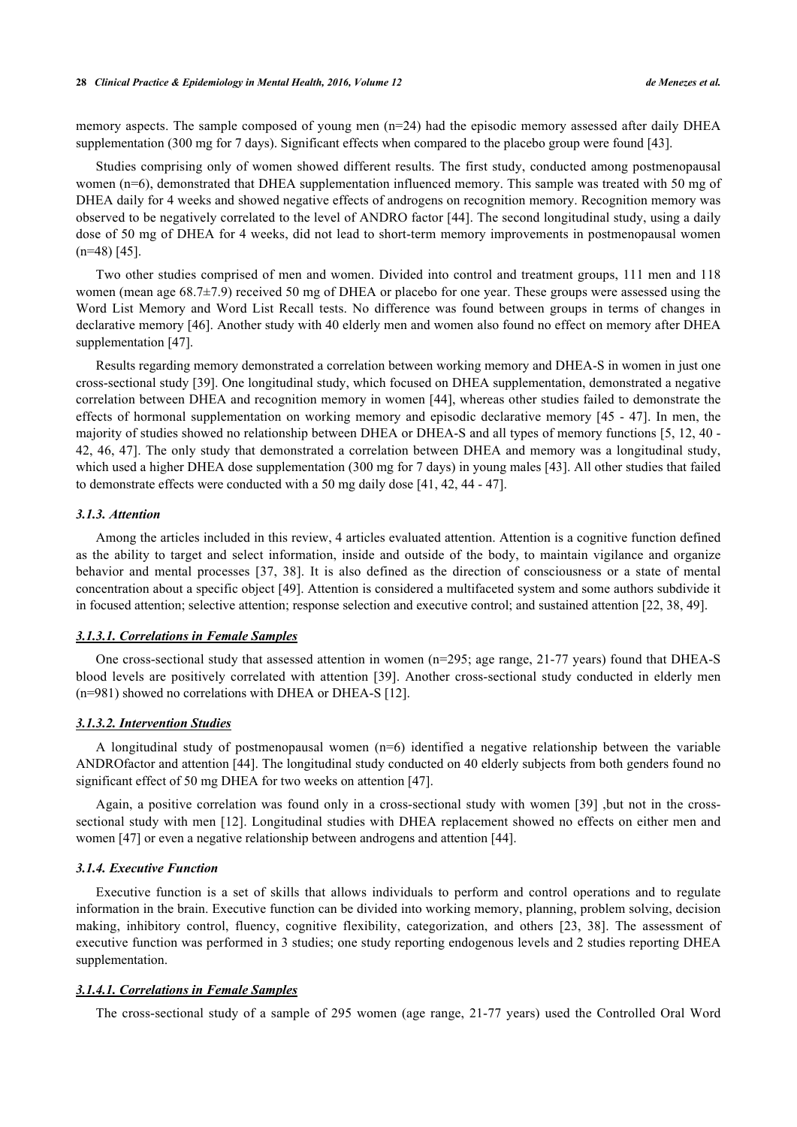memory aspects. The sample composed of young men (n=24) had the episodic memory assessed after daily DHEA supplementation (300 mg for 7 days). Significant effects when compared to the placebo group were found [[43\]](#page-12-10).

Studies comprising only of women showed different results. The first study, conducted among postmenopausal women (n=6), demonstrated that DHEA supplementation influenced memory. This sample was treated with 50 mg of DHEA daily for 4 weeks and showed negative effects of androgens on recognition memory. Recognition memory was observed to be negatively correlated to the level of ANDRO factor [[44\]](#page-12-11). The second longitudinal study, using a daily dose of 50 mg of DHEA for 4 weeks, did not lead to short-term memory improvements in postmenopausal women  $(n=48)$  [[45\]](#page-12-12).

Two other studies comprised of men and women. Divided into control and treatment groups, 111 men and 118 women (mean age 68.7±7.9) received 50 mg of DHEA or placebo for one year. These groups were assessed using the Word List Memory and Word List Recall tests. No difference was found between groups in terms of changes in declarative memory [\[46\]](#page-12-13). Another study with 40 elderly men and women also found no effect on memory after DHEA supplementation [[47\]](#page-12-14).

Results regarding memory demonstrated a correlation between working memory and DHEA-S in women in just one cross-sectional study [\[39](#page-12-6)]. One longitudinal study, which focused on DHEA supplementation, demonstrated a negative correlation between DHEA and recognition memory in women [\[44\]](#page-12-11), whereas other studies failed to demonstrate the effects of hormonal supplementation on working memory and episodic declarative memory [\[45](#page-12-12) - [47](#page-12-14)]. In men, the majority of studies showed no relationship between DHEA or DHEA-S and all types of memory functions [[5](#page-10-4)[, 12](#page-11-0), [40](#page-12-7) - [42](#page-12-9)[, 46](#page-12-13), [47](#page-12-14)]. The only study that demonstrated a correlation between DHEA and memory was a longitudinal study, which used a higher DHEA dose supplementation (300 mg for 7 days) in young males [\[43](#page-12-10)]. All other studies that failed to demonstrate effects were conducted with a 50 mg daily dose [[41,](#page-12-8) [42,](#page-12-9) [44](#page-12-11) - [47](#page-12-14)].

#### *3.1.3. Attention*

Among the articles included in this review, 4 articles evaluated attention. Attention is a cognitive function defined as the ability to target and select information, inside and outside of the body, to maintain vigilance and organize behavior and mental processes [\[37,](#page-12-4) [38\]](#page-12-5). It is also defined as the direction of consciousness or a state of mental concentration about a specific object [\[49](#page-12-15)]. Attention is considered a multifaceted system and some authors subdivide it in focused attention; selective attention; response selection and executive control; and sustained attention [\[22](#page-11-21), [38](#page-12-5), [49](#page-12-15)].

#### *3.1.3.1. Correlations in Female Samples*

One cross-sectional study that assessed attention in women (n=295; age range, 21-77 years) found that DHEA-S blood levels are positively correlated with attention[[39\]](#page-12-6). Another cross-sectional study conducted in elderly men (n=981) showed no correlations with DHEA or DHEA-S [[12\]](#page-11-0).

#### *3.1.3.2. Intervention Studies*

A longitudinal study of postmenopausal women (n=6) identified a negative relationship between the variable ANDROfactor and attention [\[44](#page-12-11)]. The longitudinal study conducted on 40 elderly subjects from both genders found no significant effect of 50 mg DHEA for two weeks on attention [\[47](#page-12-14)].

Again, a positive correlation was found only in a cross-sectional study with women [[39](#page-12-6)] ,but not in the crosssectional study with men [\[12\]](#page-11-0). Longitudinal studies with DHEA replacement showed no effects on either men and women [[47\]](#page-12-14) or even a negative relationship between androgens and attention [\[44](#page-12-11)].

#### *3.1.4. Executive Function*

Executive function is a set of skills that allows individuals to perform and control operations and to regulate information in the brain. Executive function can be divided into working memory, planning, problem solving, decision making, inhibitory control, fluency, cognitive flexibility, categorization, and others[[23,](#page-11-7) [38](#page-12-5)]. The assessment of executive function was performed in 3 studies; one study reporting endogenous levels and 2 studies reporting DHEA supplementation.

#### *3.1.4.1. Correlations in Female Samples*

The cross-sectional study of a sample of 295 women (age range, 21-77 years) used the Controlled Oral Word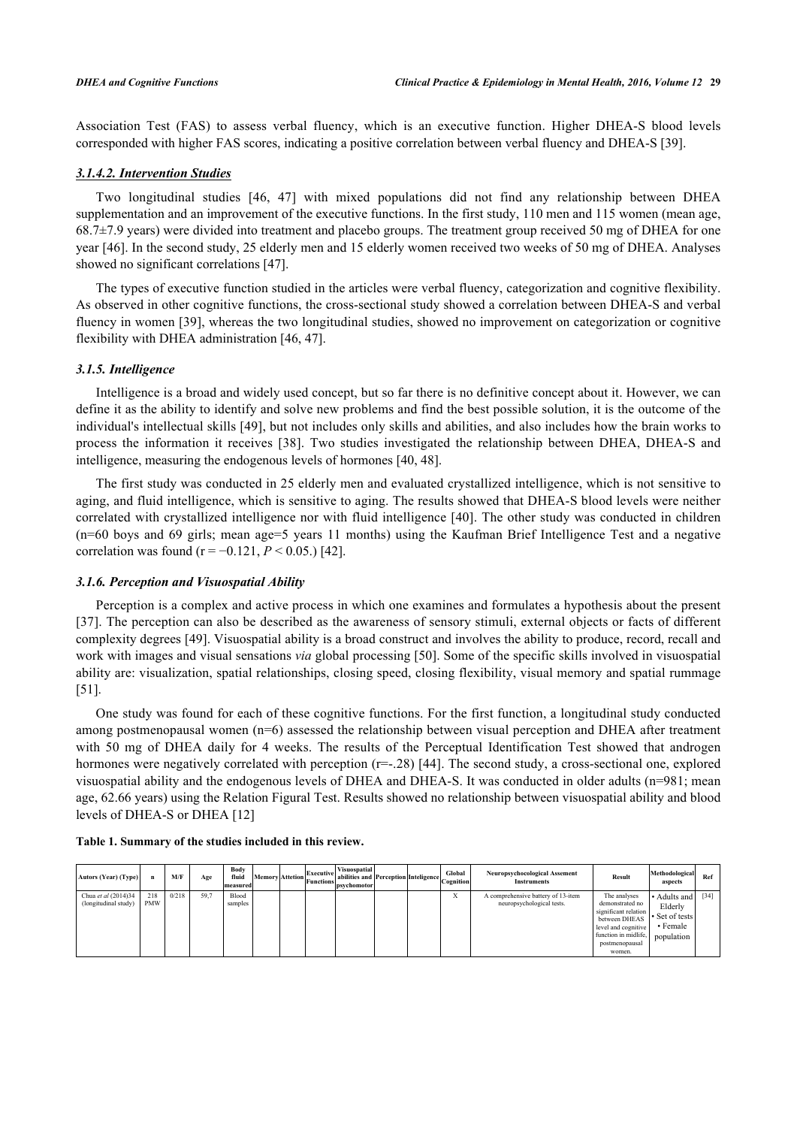Association Test (FAS) to assess verbal fluency, which is an executive function. Higher DHEA-S blood levels corresponded with higher FAS scores, indicating a positive correlation between verbal fluency and DHEA-S [[39\]](#page-12-6).

# *3.1.4.2. Intervention Studies*

Two longitudinal studies [\[46](#page-12-13), [47\]](#page-12-14) with mixed populations did not find any relationship between DHEA supplementation and an improvement of the executive functions. In the first study, 110 men and 115 women (mean age, 68.7±7.9 years) were divided into treatment and placebo groups. The treatment group received 50 mg of DHEA for one year [[46\]](#page-12-13). In the second study, 25 elderly men and 15 elderly women received two weeks of 50 mg of DHEA. Analyses showed no significant correlations [\[47](#page-12-14)].

The types of executive function studied in the articles were verbal fluency, categorization and cognitive flexibility. As observed in other cognitive functions, the cross-sectional study showed a correlation between DHEA-S and verbal fluency in women [[39](#page-12-6)], whereas the two longitudinal studies, showed no improvement on categorization or cognitive flexibility with DHEA administration [[46](#page-12-13)[, 47\]](#page-12-14).

#### *3.1.5. Intelligence*

Intelligence is a broad and widely used concept, but so far there is no definitive concept about it. However, we can define it as the ability to identify and solve new problems and find the best possible solution, it is the outcome of the individual's intellectual skills [[49\]](#page-12-15), but not includes only skills and abilities, and also includes how the brain works to process the information it receives [\[38\]](#page-12-5). Two studies investigated the relationship between DHEA, DHEA-S and intelligence, measuring the endogenous levels of hormones [\[40](#page-12-7), [48](#page-12-16)].

The first study was conducted in 25 elderly men and evaluated crystallized intelligence, which is not sensitive to aging, and fluid intelligence, which is sensitive to aging. The results showed that DHEA-S blood levels were neither correlated with crystallized intelligence nor with fluid intelligence [\[40\]](#page-12-7). The other study was conducted in children (n=60 boys and 69 girls; mean age=5 years 11 months) using the Kaufman Brief Intelligence Test and a negative correlation was found ( $r = -0.121$ ,  $P < 0.05$ .) [[42\]](#page-12-9).

#### *3.1.6. Perception and Visuospatial Ability*

Perception is a complex and active process in which one examines and formulates a hypothesis about the present [\[37](#page-12-4)]. The perception can also be described as the awareness of sensory stimuli, external objects or facts of different complexity degrees [\[49](#page-12-15)]. Visuospatial ability is a broad construct and involves the ability to produce, record, recall and work with images and visual sensations *via* global processing [[50\]](#page-12-17). Some of the specific skills involved in visuospatial ability are: visualization, spatial relationships, closing speed, closing flexibility, visual memory and spatial rummage [\[51](#page-12-18)].

One study was found for each of these cognitive functions. For the first function, a longitudinal study conducted among postmenopausal women (n=6) assessed the relationship between visual perception and DHEA after treatment with 50 mg of DHEA daily for 4 weeks. The results of the Perceptual Identification Test showed that androgen hormones were negatively correlated with perception (r=-.28) [[44](#page-12-11)]. The second study, a cross-sectional one, explored visuospatial ability and the endogenous levels of DHEA and DHEA-S. It was conducted in older adults (n=981; mean age, 62.66 years) using the Relation Figural Test. Results showed no relationship between visuospatial ability and blood levels of DHEA-S or DHEA [[12\]](#page-11-0)

| Autors (Year) (Type)                        | n                 | M/F   | Age  | Body<br>fluid<br>lmeasuredl |  | Executive<br>Memory Attetion Functions abun- | <b>Visuospatial</b><br>abilities and Perception Inteligence<br>psychomotor |  | Global<br>Cognition | Neuropsychocological Assement<br><b>Instruments</b>             | Result                                                                                                                                              | Methodological<br>aspects                                                 | Ref    |
|---------------------------------------------|-------------------|-------|------|-----------------------------|--|----------------------------------------------|----------------------------------------------------------------------------|--|---------------------|-----------------------------------------------------------------|-----------------------------------------------------------------------------------------------------------------------------------------------------|---------------------------------------------------------------------------|--------|
| Chua et al (2014)34<br>(longitudinal study) | 218<br><b>PMW</b> | 0/218 | 59.7 | Blood<br>samples            |  |                                              |                                                                            |  | $-1$<br>л           | A comprehensive battery of 13-item<br>neuropsychological tests. | The analyses<br>demonstrated no<br>significant relation<br>between DHEAS<br>level and cognitive<br>function in midlife,<br>postmenopausal<br>women. | • Adults and<br>Elderly<br>$\cdot$ Set of tests<br>• Female<br>population | $[34]$ |

<span id="page-5-0"></span>**Table 1. Summary of the studies included in this review.**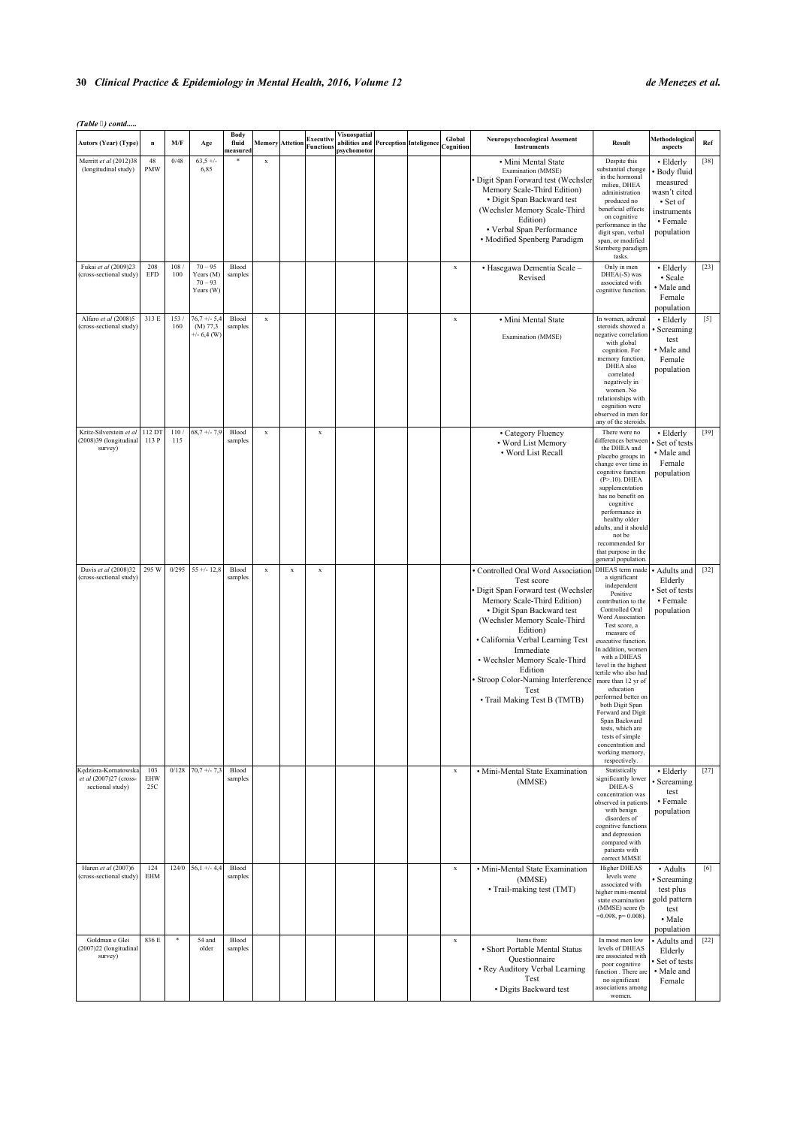# **30** *Clinical Practice & Epidemiology in Mental Health, 2016, Volume 12 de Menezes et al.*

*(Table ) contd.....*

| Autors (Year) (Type)                                                | $\mathbf n$       | M/F         | Age                                              | Body<br>fluid<br>neasured |             | <b>Memory</b> Attetion | <b>Executive</b><br><b>Functions</b> | Visuospatial<br>abilities and Perception Inteligence<br>psychomotor |  | Global<br>Cognition | Neuropsychocological Assement<br><b>Instruments</b>                                                                                                                                                                                                                                                                                                                    | Result                                                                                                                                                                                                                                                                                                                                                                                                                                                                                  | Methodological<br>aspects                                                                                | Ref    |
|---------------------------------------------------------------------|-------------------|-------------|--------------------------------------------------|---------------------------|-------------|------------------------|--------------------------------------|---------------------------------------------------------------------|--|---------------------|------------------------------------------------------------------------------------------------------------------------------------------------------------------------------------------------------------------------------------------------------------------------------------------------------------------------------------------------------------------------|-----------------------------------------------------------------------------------------------------------------------------------------------------------------------------------------------------------------------------------------------------------------------------------------------------------------------------------------------------------------------------------------------------------------------------------------------------------------------------------------|----------------------------------------------------------------------------------------------------------|--------|
| Merritt et al (2012)38<br>(longitudinal study)                      | 48<br>PMW         | $0/48$      | $63,5 +/-$<br>6,85                               |                           | $\mathbf x$ |                        |                                      |                                                                     |  |                     | · Mini Mental State<br>Examination (MMSE)<br>Digit Span Forward test (Wechsler<br>Memory Scale-Third Edition)<br>• Digit Span Backward test<br>(Wechsler Memory Scale-Third<br>Edition)<br>• Verbal Span Performance<br>• Modified Spenberg Paradigm                                                                                                                   | Despite this<br>substantial change<br>in the hormonal<br>milieu, DHEA<br>administration<br>produced no<br>beneficial effects<br>on cognitive<br>performance in the<br>digit span, verbal<br>span, or modified<br>Sternberg paradigm<br>tasks.                                                                                                                                                                                                                                           | • Elderly<br>Body fluid<br>measured<br>wasn't cited<br>• Set of<br>instruments<br>• Female<br>population | $[38]$ |
| Fukai et al (2009)23<br>(cross-sectional study)                     | 208<br>EFD        | 108/<br>100 | $70 - 95$<br>Years (M)<br>$70 - 93$<br>Years (W) | Blood<br>samples          |             |                        |                                      |                                                                     |  | $\mathbf x$         | · Hasegawa Dementia Scale-<br>Revised                                                                                                                                                                                                                                                                                                                                  | Only in men<br>DHEA(-S) was<br>associated with<br>cognitive function.                                                                                                                                                                                                                                                                                                                                                                                                                   | • Elderly<br>· Scale<br>· Male and<br>Female<br>population                                               | $[23]$ |
| Alfaro et al (2008)5<br>(cross-sectional study)                     | 313 E             | 153/<br>160 | $76,7 + (-5,4)$<br>(M) 77,3<br>$+/- 6,4$ (W)     | Blood<br>samples          | $\mathbf x$ |                        |                                      |                                                                     |  | $\mathbf x$         | · Mini Mental State<br>Examination (MMSE)                                                                                                                                                                                                                                                                                                                              | In women, adrenal<br>steroids showed a<br>negative correlation<br>with global<br>cognition. For<br>memory function,<br>DHEA also<br>correlated<br>negatively in<br>women. No<br>relationships with<br>cognition were<br>observed in men for<br>any of the steroids.                                                                                                                                                                                                                     | • Elderly<br>Screaming<br>test<br>• Male and<br>Female<br>population                                     | $[5]$  |
| Kritz-Silverstein et al 112 DT<br>(2008)39 (longitudinal<br>survey) | 113 P             | 110/<br>115 | $68,7 +/- 7,9$                                   | Blood<br>samples          | $\mathbf x$ |                        | x                                    |                                                                     |  |                     | • Category Fluency<br>• Word List Memory<br>• Word List Recall                                                                                                                                                                                                                                                                                                         | There were no<br>differences between<br>the DHEA and<br>placebo groups in<br>change over time in<br>cognitive function<br>$(P > 10)$ . DHEA<br>supplementation<br>has no benefit on<br>cognitive<br>performance in<br>healthy older<br>adults, and it should<br>not be<br>recommended for<br>that purpose in the<br>general population.                                                                                                                                                 | • Elderly<br>Set of tests<br>• Male and<br>Female<br>population                                          | $[39]$ |
| Davis et al (2008)32<br>(cross-sectional study)                     | 295 W             | 0/295       | $55 + (-12.8)$                                   | Blood<br>samples          | $\mathbf x$ | $\mathbf x$            | x                                    |                                                                     |  |                     | Controlled Oral Word Association<br>Test score<br>Digit Span Forward test (Wechsler<br>Memory Scale-Third Edition)<br>• Digit Span Backward test<br>(Wechsler Memory Scale-Third<br>Edition)<br>• California Verbal Learning Test<br>Immediate<br>• Wechsler Memory Scale-Third<br>Edition<br>Stroop Color-Naming Interference<br>Test<br>• Trail Making Test B (TMTB) | DHEAS term made<br>a significant<br>independent<br>Positive<br>contribution to the<br>Controlled Oral<br>Word Association<br>Test score, a<br>measure of<br>executive function.<br>In addition, women<br>with a DHEAS<br>level in the highest<br>tertile who also had<br>more than 12 yr of<br>education<br>berformed better on<br>both Digit Span<br>Forward and Digit<br>Span Backward<br>tests which are<br>tests of simple<br>concentration and<br>working memory,<br>respectively. | • Adults and<br>Elderly<br>Set of tests<br>• Female<br>population                                        | $[32]$ |
| Kędziora-Kornatowska<br>et al (2007)27 (cross-<br>sectional study)  | 103<br>EHW<br>25C | 0/128       | $70,7 +/- 7,3$                                   | Blood<br>samples          |             |                        |                                      |                                                                     |  | $\mathbf x$         | · Mini-Mental State Examination<br>(MMSE)                                                                                                                                                                                                                                                                                                                              | Statistically<br>significantly lower<br>DHEA-S<br>concentration was<br>observed in patients<br>with benign<br>disorders of<br>cognitive functions<br>and depression<br>compared with<br>patients with<br>correct MMSE                                                                                                                                                                                                                                                                   | • Elderly<br>Screaming<br>test<br>• Female<br>population                                                 | $[27]$ |
| Haren et al (2007)6<br>(cross-sectional study)                      | 124<br>EHM        | 124/0       | $56,1 +/- 4,4$                                   | Blood<br>samples          |             |                        |                                      |                                                                     |  | $\mathbf x$         | · Mini-Mental State Examination<br>(MMSE)<br>· Trail-making test (TMT)                                                                                                                                                                                                                                                                                                 | <b>Higher DHEAS</b><br>levels were<br>associated with<br>higher mini-mental<br>state examination<br>(MMSE) score (b<br>$=0.098$ , p= 0.008).                                                                                                                                                                                                                                                                                                                                            | • Adults<br>Screaming<br>test plus<br>gold pattern<br>test<br>• Male<br>population                       | [6]    |
| Goldman e Glei<br>(2007)22 (longitudinal<br>survey)                 | 836 E             | *           | 54 and<br>older                                  | Blood<br>samples          |             |                        |                                      |                                                                     |  | $\mathbf x$         | Items from:<br>• Short Portable Mental Status<br>Questionnaire<br>• Rey Auditory Verbal Learning<br>Test<br>• Digits Backward test                                                                                                                                                                                                                                     | In most men low<br>levels of DHEAS<br>are associated with<br>poor cognitive<br>function . There are<br>no significant<br>associations among<br>women.                                                                                                                                                                                                                                                                                                                                   | Adults and<br>Elderly<br>Set of tests<br>• Male and<br>Female                                            | $[22]$ |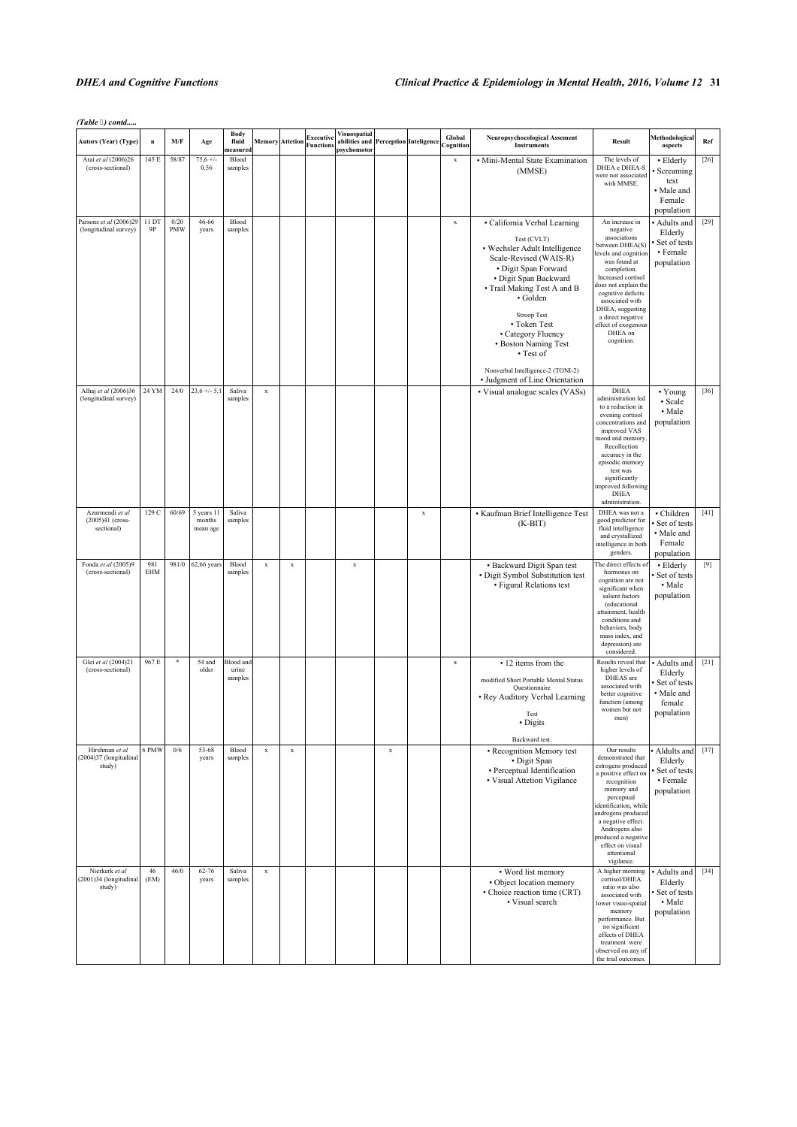# *DHEA and Cognitive Functions Clinical Practice & Epidemiology in Mental Health, 2016, Volume 12* **31**

*(Table ) contd.....*

| <b>Autors (Year) (Type)</b>                        | $\bf n$           | M/F                | Age                              | <b>Body</b><br>fluid<br>neasured     |             | <b>Memory Attetion</b> | Executive<br><b>Functions</b> | Visuospatial<br>abilities and Perception Inteligence<br>psychomotor |             |             | Global<br>Cognition | <b>Neuropsychocological Assement</b><br><b>Instruments</b>                                                                                                                                                                                                                                                                                                          | <b>Result</b>                                                                                                                                                                                                                                                                                        | Methodological<br>aspects                                                     | Ref    |
|----------------------------------------------------|-------------------|--------------------|----------------------------------|--------------------------------------|-------------|------------------------|-------------------------------|---------------------------------------------------------------------|-------------|-------------|---------------------|---------------------------------------------------------------------------------------------------------------------------------------------------------------------------------------------------------------------------------------------------------------------------------------------------------------------------------------------------------------------|------------------------------------------------------------------------------------------------------------------------------------------------------------------------------------------------------------------------------------------------------------------------------------------------------|-------------------------------------------------------------------------------|--------|
| Arai et al (2006)26<br>(cross-sectional)           | 145 E             | 58/87              | $75,6 +/-$<br>0.56               | Blood<br>samples                     |             |                        |                               |                                                                     |             |             | $\mathbf x$         | · Mini-Mental State Examination<br>(MMSE)                                                                                                                                                                                                                                                                                                                           | The levels of<br>DHEA e DHEA-S<br>were not associated<br>with MMSE.                                                                                                                                                                                                                                  | • Elderly<br>· Screaming<br>test<br>• Male and<br>Female<br>population        | $[26]$ |
| Parsons et al (2006)29<br>(longitudinal survey)    | 11 DT<br>9P       | 0/20<br><b>PMW</b> | 46-66<br>years                   | Blood<br>samples                     |             |                        |                               |                                                                     |             |             | $\mathbf x$         | · California Verbal Learning<br>Test (CVLT)<br>• Wechsler Adult Intelligence<br>Scale-Revised (WAIS-R)<br>• Digit Span Forward<br>· Digit Span Backward<br>• Trail Making Test A and B<br>· Golden<br>Stroop Test<br>• Token Test<br>• Category Fluency<br>• Boston Naming Test<br>• Test of<br>Nonverbal Intelligence-2 (TONI-2)<br>• Judgment of Line Orientation | An increase in<br>negative<br>associations<br>between DHEA(S)<br>levels and cognition<br>was found at<br>completion.<br>Increased cortisol<br>does not explain the<br>cognitive deficits<br>associated with<br>DHEA, suggesting<br>a direct negative<br>effect of exogenous<br>DHEA on<br>cognition. | · Adults and<br>Elderly<br>Set of tests<br>• Female<br>population             | $[29]$ |
| Alhaj et al (2006)36<br>(longitudinal survey)      | 24 YM             | 24/0               | $23,6 +/- 5,1$                   | Saliva<br>samples                    | $\mathbf x$ |                        |                               |                                                                     |             |             |                     | • Visual analogue scales (VASs)                                                                                                                                                                                                                                                                                                                                     | <b>DHEA</b><br>administration led<br>to a reduction in<br>evening cortisol<br>concentrations and<br>improved VAS<br>mood and memory.<br>Recollection<br>accuracy in the<br>episodic memory<br>test was<br>significantly<br>mproved following<br>DHEA<br>administration.                              | • Young<br>· Scale<br>• Male<br>population                                    | $[36]$ |
| Azurmendi et al<br>(2005)41 (cross-<br>sectional)  | 129 C             | 60/69              | 5 years 11<br>months<br>mean age | Saliva<br>samples                    |             |                        |                               |                                                                     |             | $\mathbf x$ |                     | • Kaufman Brief Intelligence Test<br>$(K-BIT)$                                                                                                                                                                                                                                                                                                                      | DHEA was not a<br>good predictor for<br>fluid intelligence<br>and crystallized<br>intelligence in both<br>genders.                                                                                                                                                                                   | · Children<br>Set of tests<br>• Male and<br>Female<br>population              | $[41]$ |
| Fonda et al (2005)9<br>(cross-sectional)           | 981<br><b>EHM</b> | 981/0              | 62,66 years                      | Blood<br>samples                     | $\mathbf x$ | $\mathbf x$            |                               | $\mathbf x$                                                         |             |             |                     | • Backward Digit Span test<br>• Digit Symbol Substitution test<br>• Figural Relations test                                                                                                                                                                                                                                                                          | The direct effects of<br>hormones on<br>cognition are not<br>significant when<br>salient factors<br>(educational<br>attainment, health<br>conditions and<br>behaviors, body<br>mass index, and<br>depression) are<br>considered.                                                                     | • Elderly<br>Set of tests<br>• Male<br>population                             | $[9]$  |
| Glei et al (2004)21<br>(cross-sectional)           | 967 E             | $\ast$             | 54 and<br>older                  | <b>Blood</b> and<br>urine<br>samples |             |                        |                               |                                                                     |             |             | $\mathbf x$         | • 12 items from the<br>modified Short Portable Mental Status<br>Questionnaire<br>• Rey Auditory Verbal Learning<br>Test<br>• Digits<br>Backward test.                                                                                                                                                                                                               | Results reveal that<br>higher levels of<br>DHEAS are<br>associated with<br>better cognitive<br>function (among<br>women but not<br>men)                                                                                                                                                              | · Adults and<br>Elderly<br>Set of tests<br>• Male and<br>female<br>population | $[21]$ |
| Hirshman et al<br>(2004)37 (longitudinal<br>study) | 6 PMW             | 0/6                | 53-68<br>years                   | Blood<br>samples                     | $\mathbf x$ | $\mathbf x$            |                               |                                                                     | $\mathbf x$ |             |                     | • Recognition Memory test<br>· Digit Span<br>• Perceptual Identification<br>• Visual Attetion Vigilance                                                                                                                                                                                                                                                             | Our results<br>demonstrated that<br>estrogens produced<br>a positive effect on<br>recognition<br>memory and<br>perceptual<br>identification, while<br>androgens produced<br>a negative effect.<br>Androgens also<br>produced a negative<br>effect on visual<br>attentional<br>vigilance.             | Aldults and<br>Elderly<br>Set of tests<br>• Female<br>population              | $[37]$ |
| Nierkerk et al<br>(2001)34 (longitudinal<br>study) | 46<br>(EM)        | 46/0               | 62-76<br>years                   | Saliva<br>samples                    | $\mathbf x$ |                        |                               |                                                                     |             |             |                     | • Word list memory<br>• Object location memory<br>• Choice reaction time (CRT)<br>• Visual search                                                                                                                                                                                                                                                                   | A higher morning<br>cortisol/DHEA<br>ratio was also<br>associated with<br>lower visuo-spatial<br>memory<br>performance. But<br>no significant<br>effects of DHEA<br>treatment were<br>observed on any of<br>the trial outcomes                                                                       | · Adults and<br>Elderly<br>Set of tests<br>• Male<br>population               | $[34]$ |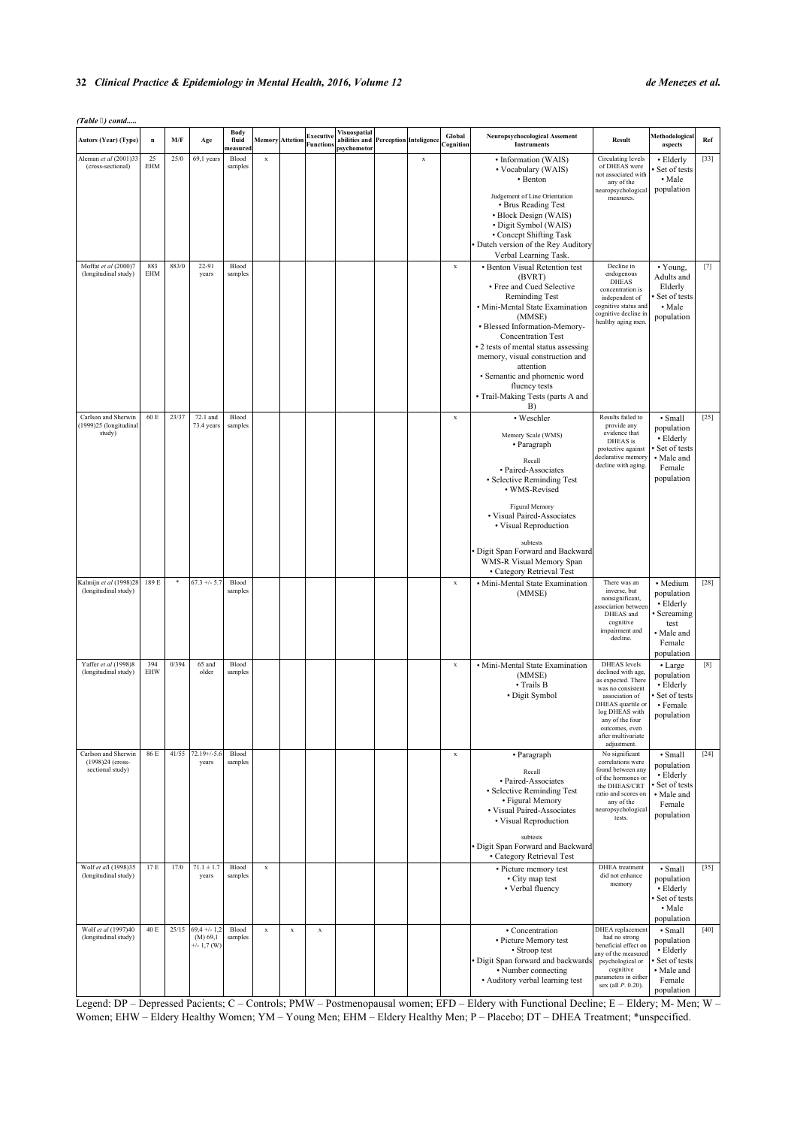#### **32** *Clinical Practice & Epidemiology in Mental Health, 2016, Volume 12 de Menezes et al.*

| (Table 3) contd                                             |                   |       |                                             |                                  |                        |             |                               |                                                                     |             |                     |                                                                                                                                                                                                                                                                                                                                                                                        |                                                                                                                                                                                                                         |                                                                                                      |                   |
|-------------------------------------------------------------|-------------------|-------|---------------------------------------------|----------------------------------|------------------------|-------------|-------------------------------|---------------------------------------------------------------------|-------------|---------------------|----------------------------------------------------------------------------------------------------------------------------------------------------------------------------------------------------------------------------------------------------------------------------------------------------------------------------------------------------------------------------------------|-------------------------------------------------------------------------------------------------------------------------------------------------------------------------------------------------------------------------|------------------------------------------------------------------------------------------------------|-------------------|
| <b>Autors (Year) (Type)</b>                                 | n                 | M/F   | Age                                         | <b>Body</b><br>fluid<br>measured | <b>Memory</b> Attetion |             | Executive<br><b>Function:</b> | Visuospatial<br>abilities and Perception Inteligence<br>psychomotor |             | Global<br>Cognition | Neuropsychocological Assement<br><b>Instruments</b>                                                                                                                                                                                                                                                                                                                                    | Result                                                                                                                                                                                                                  | Methodological<br>aspects                                                                            | Ref               |
| Aleman et al (2001)33<br>(cross-sectional)                  | 25<br>EHM         | 25/0  | 69,1 years                                  | Blood<br>samples                 | $\mathbf x$            |             |                               |                                                                     | $\mathbf x$ |                     | • Information (WAIS)<br>• Vocabulary (WAIS)<br>• Benton<br>Judgement of Line Orientation<br>• Brus Reading Test<br>• Block Design (WAIS)<br>· Digit Symbol (WAIS)<br>• Concept Shifting Task<br>Dutch version of the Rey Auditory<br>Verbal Learning Task.                                                                                                                             | Circulating levels<br>of DHEAS were<br>not associated with<br>any of the<br>neuropsychological<br>measures.                                                                                                             | • Elderly<br>Set of tests<br>• Male<br>population                                                    | $[33]$            |
| Moffat et al (2000)7<br>(longitudinal study)                | 883<br><b>EHM</b> | 883/0 | 22-91<br>years                              | Blood<br>samples                 |                        |             |                               |                                                                     |             | $\mathbf x$         | • Benton Visual Retention test<br>(BVRT)<br>• Free and Cued Selective<br>Reminding Test<br>· Mini-Mental State Examination<br>(MMSE)<br>• Blessed Information-Memory-<br><b>Concentration Test</b><br>• 2 tests of mental status assessing<br>memory, visual construction and<br>attention<br>• Semantic and phomenic word<br>fluency tests<br>• Trail-Making Tests (parts A and<br>B) | Decline in<br>endogenous<br><b>DHEAS</b><br>concentration is<br>independent of<br>ognitive status and<br>cognitive decline in<br>healthy aging men.                                                                     | • Young,<br>Adults and<br>Elderly<br>Set of tests<br>• Male<br>population                            | $[7]$             |
| Carlson and Sherwin<br>(1999)25 (longitudinal<br>study)     | 60 E              | 23/37 | 72.1 and<br>73.4 years                      | Blood<br>samples                 |                        |             |                               |                                                                     |             | $\mathbf x$         | • Weschler<br>Memory Scale (WMS)<br>• Paragraph<br>Recall<br>• Paired-Associates<br>• Selective Reminding Test<br>• WMS-Revised<br>Figural Memory<br>• Visual Paired-Associates<br>• Visual Reproduction<br>subtests<br>Digit Span Forward and Backward<br>WMS-R Visual Memory Span<br>• Category Retrieval Test                                                                       | Results failed to<br>provide any<br>evidence that<br>DHEAS is<br>protective against<br>declarative memory<br>decline with aging.                                                                                        | • Small<br>population<br>• Elderly<br>Set of tests<br>• Male and<br>Female<br>population             | $[25]$            |
| Kalmijn et al (1998)28<br>(longitudinal study)              | 189 E             | ×     | $67.3 +/- 5.7$                              | Blood<br>samples                 |                        |             |                               |                                                                     |             | $\mathbf x$         | · Mini-Mental State Examination<br>(MMSE)                                                                                                                                                                                                                                                                                                                                              | There was an<br>inverse, but<br>nonsignificant,<br>ssociation between<br>DHEAS and<br>cognitive<br>impairment and<br>decline.                                                                                           | · Medium<br>population<br>$\cdot$ Elderly<br>Screaming<br>test<br>• Male and<br>Female<br>population | $[28]$            |
| Yaffer et al (1998)8<br>(longitudinal study)                | 394<br>EHW        | 0/394 | 65 and<br>older                             | Blood<br>samples                 |                        |             |                               |                                                                     |             | $\mathbf x$         | • Mini-Mental State Examination<br>(MMSE)<br>• Trails B<br>· Digit Symbol                                                                                                                                                                                                                                                                                                              | <b>DHEAS</b> levels<br>declined with age,<br>as expected. There<br>was no consistent<br>association of<br>DHEAS quartile or<br>log DHEAS with<br>any of the four<br>outcomes, even<br>after multivariate<br>adjustment. | • Large<br>population<br>• Elderly<br>Set of tests<br>• Female<br>population                         | $\left[ 8\right]$ |
| Carlson and Sherwin<br>(1998)24 (cross-<br>sectional study) | 86 E              | 41/55 | $72.19 + (-5.6)$<br>years                   | Blood<br>samples                 |                        |             |                               |                                                                     |             | $\mathbf x$         | • Paragraph<br>Recall<br>· Paired-Associates<br>• Selective Reminding Test<br>• Figural Memory<br>• Visual Paired-Associates<br>• Visual Reproduction<br>subtests<br>Digit Span Forward and Backward<br>• Category Retrieval Test                                                                                                                                                      | No significant<br>correlations were<br>found between any<br>of the hormones or<br>the DHEAS/CRT<br>ratio and scores on<br>any of the<br>neuropsychological<br>tests.                                                    | · Small<br>population<br>• Elderly<br>Set of tests<br>• Male and<br>Female<br>population             | $[24]$            |
| Wolf et all (1998)35<br>(longitudinal study)                | 17 E              | 17/0  | $71.1 \pm 1.7$<br>years                     | Blood<br>samples                 | $\mathbf x$            |             |                               |                                                                     |             |                     | • Picture memory test<br>• City map test<br>• Verbal fluency                                                                                                                                                                                                                                                                                                                           | DHEA treatment<br>did not enhance<br>memory                                                                                                                                                                             | $\cdot$ Small<br>population<br>• Elderly<br>· Set of tests<br>• Male<br>population                   | $[35]$            |
| Wolf et al (1997)40<br>(longitudinal study)                 | 40 E              | 25/15 | $69,4 +/- 1,2$<br>(M) 69,1<br>$+/- 1,7$ (W) | Blood<br>samples                 | $\mathbf x$            | $\mathbf x$ | $\mathbf x$                   |                                                                     |             |                     | · Concentration<br>• Picture Memory test<br>• Stroop test<br>Digit Span forward and backwards<br>• Number connecting<br>• Auditory verbal learning test                                                                                                                                                                                                                                | DHEA replacement<br>had no strong<br>beneficial effect on<br>any of the measured<br>psychological or<br>cognitive<br>parameters in either<br>sex (all P. 0.20).                                                         | • Small<br>population<br>• Elderly<br>Set of tests<br>• Male and<br>Female<br>population             | $[40]$            |

Legend: DP – Depressed Pacients; C – Controls; PMW – Postmenopausal women; EFD – Eldery with Functional Decline; E – Eldery; M- Men; W – Women; EHW – Eldery Healthy Women; YM – Young Men; EHM – Eldery Healthy Men; P – Placebo; DT – DHEA Treatment; \*unspecified.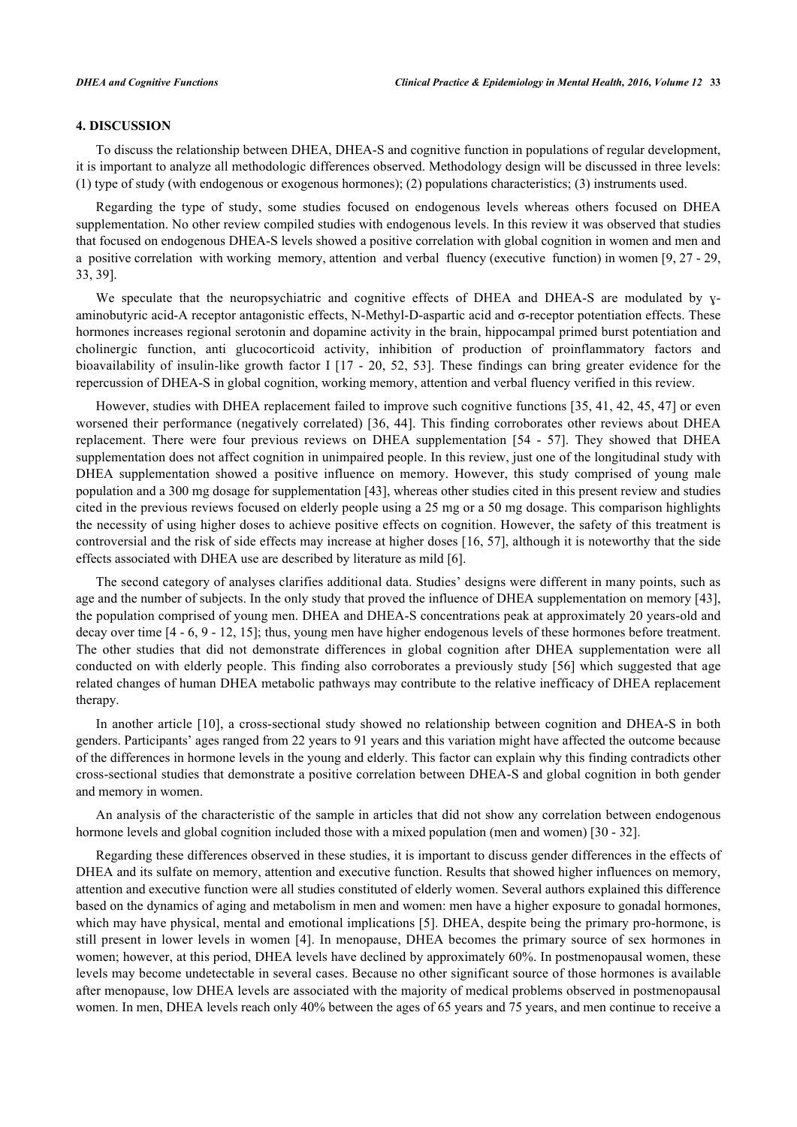### **4. DISCUSSION**

To discuss the relationship between DHEA, DHEA-S and cognitive function in populations of regular development, it is important to analyze all methodologic differences observed. Methodology design will be discussed in three levels: (1) type of study (with endogenous or exogenous hormones); (2) populations characteristics; (3) instruments used.

Regarding the type of study, some studies focused on endogenous levels whereas others focused on DHEA supplementation. No other review compiled studies with endogenous levels. In this review it was observed that studies that focused on endogenous DHEA-S levels showed a positive correlation with global cognition in women and men and a positive correlation with working memory, attention and verbal fluency (executive function) in women [[9,](#page-10-7) [27](#page-11-14) - [29](#page-11-16), [33,](#page-12-0) [39\]](#page-12-6).

We speculate that the neuropsychiatric and cognitive effects of DHEA and DHEA-S are modulated by yaminobutyric acid-A receptor antagonistic effects, N-Methyl-D-aspartic acid and σ-receptor potentiation effects. These hormones increases regional serotonin and dopamine activity in the brain, hippocampal primed burst potentiation and cholinergic function, anti glucocorticoid activity, inhibition of production of proinflammatory factors and bioavailability of insulin-like growth factor I [[17](#page-11-5) - [20,](#page-11-10) [52](#page-12-19), [53\]](#page-12-20). These findings can bring greater evidence for the repercussion of DHEA-S in global cognition, working memory, attention and verbal fluency verified in this review.

However, studies with DHEA replacement failed to improve such cognitive functions [[35](#page-12-3)[, 41](#page-12-8), [42](#page-12-9)[, 45](#page-12-12), [47\]](#page-12-14) or even worsened their performance (negatively correlated) [\[36](#page-12-2), [44\]](#page-12-11). This finding corroborates other reviews about DHEA replacement. There were four previous reviews on DHEA supplementation [\[54](#page-12-21) - [57](#page-13-0)]. They showed that DHEA supplementation does not affect cognition in unimpaired people. In this review, just one of the longitudinal study with DHEA supplementation showed a positive influence on memory. However, this study comprised of young male population and a 300 mg dosage for supplementation [[43\]](#page-12-10), whereas other studies cited in this present review and studies cited in the previous reviews focused on elderly people using a 25 mg or a 50 mg dosage. This comparison highlights the necessity of using higher doses to achieve positive effects on cognition. However, the safety of this treatment is controversial and the risk of side effects may increase at higher doses [[16,](#page-11-4) [57](#page-13-0)], although it is noteworthy that the side effects associated with DHEA use are described by literature as mild [\[6](#page-10-5)].

The second category of analyses clarifies additional data. Studies' designs were different in many points, such as age and the number of subjects. In the only study that proved the influence of DHEA supplementation on memory [[43\]](#page-12-10), the population comprised of young men. DHEA and DHEA-S concentrations peak at approximately 20 years-old and decay over time [[4](#page-10-1) - [6](#page-10-5), [9](#page-10-7) - [12](#page-11-0), [15](#page-11-3)]; thus, young men have higher endogenous levels of these hormones before treatment. The other studies that did not demonstrate differences in global cognition after DHEA supplementation were all conducted on with elderly people. This finding also corroborates a previously study [\[56](#page-13-1)] which suggested that age related changes of human DHEA metabolic pathways may contribute to the relative inefficacy of DHEA replacement therapy.

In another article [[10](#page-10-8)], a cross-sectional study showed no relationship between cognition and DHEA-S in both genders. Participants' ages ranged from 22 years to 91 years and this variation might have affected the outcome because of the differences in hormone levels in the young and elderly. This factor can explain why this finding contradicts other cross-sectional studies that demonstrate a positive correlation between DHEA-S and global cognition in both gender and memory in women.

An analysis of the characteristic of the sample in articles that did not show any correlation between endogenous hormone levels and global cognition included those with a mixed population (men and women) [\[30](#page-11-17) - [32\]](#page-11-19).

Regarding these differences observed in these studies, it is important to discuss gender differences in the effects of DHEA and its sulfate on memory, attention and executive function. Results that showed higher influences on memory, attention and executive function were all studies constituted of elderly women. Several authors explained this difference based on the dynamics of aging and metabolism in men and women: men have a higher exposure to gonadal hormones, which may have physical, mental and emotional implications [[5\]](#page-10-4). DHEA, despite being the primary pro-hormone, is still present in lower levels in women [[4](#page-10-1)]. In menopause, DHEA becomes the primary source of sex hormones in women; however, at this period, DHEA levels have declined by approximately 60%. In postmenopausal women, these levels may become undetectable in several cases. Because no other significant source of those hormones is available after menopause, low DHEA levels are associated with the majority of medical problems observed in postmenopausal women. In men, DHEA levels reach only 40% between the ages of 65 years and 75 years, and men continue to receive a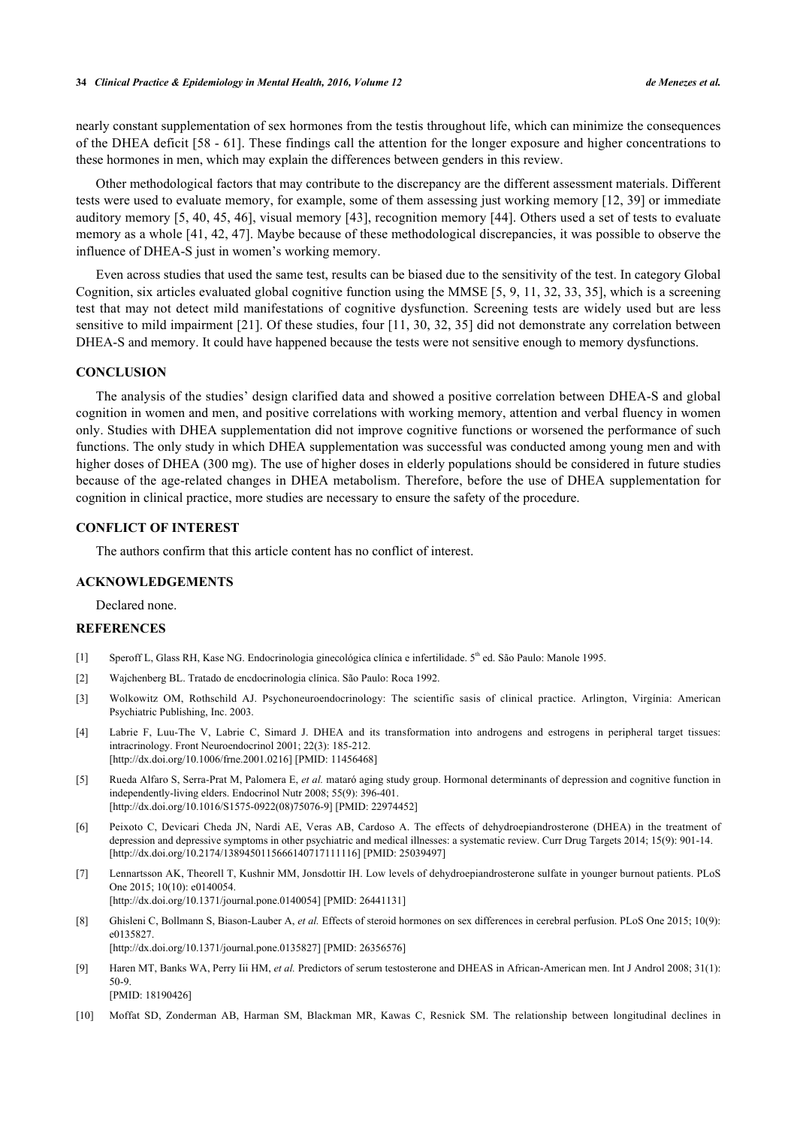nearly constant supplementation of sex hormones from the testis throughout life, which can minimize the consequences of the DHEA deficit [\[58](#page-13-2) - [61](#page-13-3)]. These findings call the attention for the longer exposure and higher concentrations to these hormones in men, which may explain the differences between genders in this review.

Other methodological factors that may contribute to the discrepancy are the different assessment materials. Different tests were used to evaluate memory, for example, some of them assessing just working memory [\[12](#page-11-0), [39\]](#page-12-6) or immediate auditory memory [[5,](#page-10-4) [40](#page-12-7), [45](#page-12-12)[, 46](#page-12-13)], visual memory [\[43\]](#page-12-10), recognition memory [[44\]](#page-12-11). Others used a set of tests to evaluate memory as a whole [\[41,](#page-12-8) [42,](#page-12-9) [47](#page-12-14)]. Maybe because of these methodological discrepancies, it was possible to observe the influence of DHEA-S just in women's working memory.

Even across studies that used the same test, results can be biased due to the sensitivity of the test. In category Global Cognition, six articles evaluated global cognitive function using the MMSE [[5,](#page-10-4) [9](#page-10-7)[, 11](#page-11-20), [32,](#page-11-19) [33](#page-12-0)[, 35](#page-12-3)], which is a screening test that may not detect mild manifestations of cognitive dysfunction. Screening tests are widely used but are less sensitive to mild impairment [\[21\]](#page-11-6). Of these studies, four [\[11,](#page-11-20) [30](#page-11-17), [32,](#page-11-19) [35](#page-12-3)] did not demonstrate any correlation between DHEA-S and memory. It could have happened because the tests were not sensitive enough to memory dysfunctions.

# **CONCLUSION**

The analysis of the studies' design clarified data and showed a positive correlation between DHEA-S and global cognition in women and men, and positive correlations with working memory, attention and verbal fluency in women only. Studies with DHEA supplementation did not improve cognitive functions or worsened the performance of such functions. The only study in which DHEA supplementation was successful was conducted among young men and with higher doses of DHEA (300 mg). The use of higher doses in elderly populations should be considered in future studies because of the age-related changes in DHEA metabolism. Therefore, before the use of DHEA supplementation for cognition in clinical practice, more studies are necessary to ensure the safety of the procedure.

#### **CONFLICT OF INTEREST**

The authors confirm that this article content has no conflict of interest.

#### **ACKNOWLEDGEMENTS**

Declared none.

## **REFERENCES**

- <span id="page-10-0"></span>[1] Speroff L, Glass RH, Kase NG. Endocrinologia ginecológica clínica e infertilidade. 5<sup>th</sup> ed. São Paulo: Manole 1995.
- <span id="page-10-2"></span>[2] Wajchenberg BL. Tratado de encdocrinologia clínica. São Paulo: Roca 1992.
- <span id="page-10-3"></span>[3] Wolkowitz OM, Rothschild AJ. Psychoneuroendocrinology: The scientific sasis of clinical practice. Arlington, Virgínia: American Psychiatric Publishing, Inc. 2003.
- <span id="page-10-1"></span>[4] Labrie F, Luu-The V, Labrie C, Simard J. DHEA and its transformation into androgens and estrogens in peripheral target tissues: intracrinology. Front Neuroendocrinol 2001; 22(3): 185-212. [\[http://dx.doi.org/10.1006/frne.2001.0216\]](http://dx.doi.org/10.1006/frne.2001.0216) [PMID: [11456468](http://www.ncbi.nlm.nih.gov/pubmed/11456468)]
- <span id="page-10-4"></span>[5] Rueda Alfaro S, Serra-Prat M, Palomera E, *et al.* mataró aging study group. Hormonal determinants of depression and cognitive function in independently-living elders. Endocrinol Nutr 2008; 55(9): 396-401. [\[http://dx.doi.org/10.1016/S1575-0922\(08\)75076-9\]](http://dx.doi.org/10.1016/S1575-0922(08)75076-9) [PMID: [22974452](http://www.ncbi.nlm.nih.gov/pubmed/22974452)]
- <span id="page-10-5"></span>[6] Peixoto C, Devicari Cheda JN, Nardi AE, Veras AB, Cardoso A. The effects of dehydroepiandrosterone (DHEA) in the treatment of depression and depressive symptoms in other psychiatric and medical illnesses: a systematic review. Curr Drug Targets 2014; 15(9): 901-14. [\[http://dx.doi.org/10.2174/1389450115666140717111116\]](http://dx.doi.org/10.2174/1389450115666140717111116) [PMID: [25039497](http://www.ncbi.nlm.nih.gov/pubmed/25039497)]
- <span id="page-10-6"></span>[7] Lennartsson AK, Theorell T, Kushnir MM, Jonsdottir IH. Low levels of dehydroepiandrosterone sulfate in younger burnout patients. PLoS One 2015; 10(10): e0140054. [\[http://dx.doi.org/10.1371/journal.pone.0140054](http://dx.doi.org/10.1371/journal.pone.0140054)] [PMID: [26441131\]](http://www.ncbi.nlm.nih.gov/pubmed/26441131)
- [8] Ghisleni C, Bollmann S, Biason-Lauber A, *et al.* Effects of steroid hormones on sex differences in cerebral perfusion. PLoS One 2015; 10(9): e0135827. [\[http://dx.doi.org/10.1371/journal.pone.0135827](http://dx.doi.org/10.1371/journal.pone.0135827)] [PMID: [26356576\]](http://www.ncbi.nlm.nih.gov/pubmed/26356576)
- <span id="page-10-7"></span>[9] Haren MT, Banks WA, Perry Iii HM, et al. Predictors of serum testosterone and DHEAS in African-American men. Int J Androl 2008; 31(1): 50-9. [PMID: [18190426\]](http://www.ncbi.nlm.nih.gov/pubmed/18190426)
- <span id="page-10-8"></span>[10] Moffat SD, Zonderman AB, Harman SM, Blackman MR, Kawas C, Resnick SM. The relationship between longitudinal declines in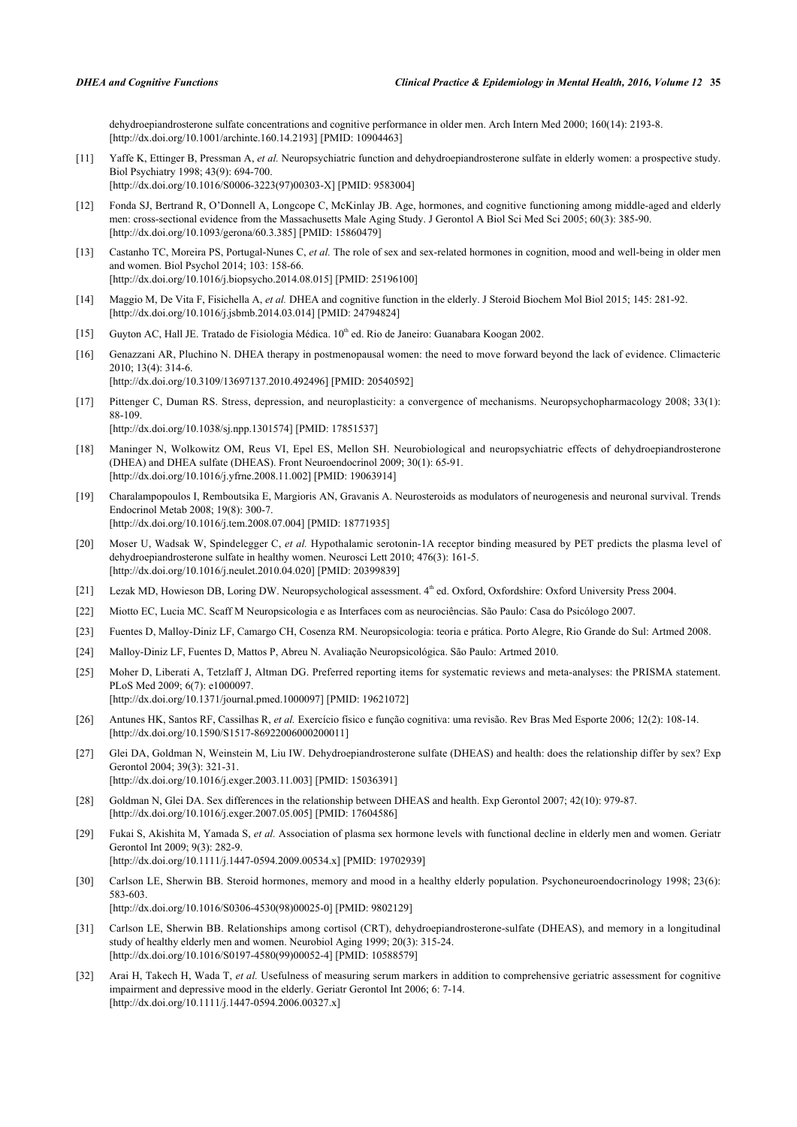dehydroepiandrosterone sulfate concentrations and cognitive performance in older men. Arch Intern Med 2000; 160(14): 2193-8. [\[http://dx.doi.org/10.1001/archinte.160.14.2193\]](http://dx.doi.org/10.1001/archinte.160.14.2193) [PMID: [10904463](http://www.ncbi.nlm.nih.gov/pubmed/10904463)]

- <span id="page-11-20"></span>[11] Yaffe K, Ettinger B, Pressman A, *et al.* Neuropsychiatric function and dehydroepiandrosterone sulfate in elderly women: a prospective study. Biol Psychiatry 1998; 43(9): 694-700. [\[http://dx.doi.org/10.1016/S0006-3223\(97\)00303-X\]](http://dx.doi.org/10.1016/S0006-3223(97)00303-X) [PMID: [9583004](http://www.ncbi.nlm.nih.gov/pubmed/9583004)]
- <span id="page-11-0"></span>[12] Fonda SJ, Bertrand R, O'Donnell A, Longcope C, McKinlay JB. Age, hormones, and cognitive functioning among middle-aged and elderly men: cross-sectional evidence from the Massachusetts Male Aging Study. J Gerontol A Biol Sci Med Sci 2005; 60(3): 385-90. [\[http://dx.doi.org/10.1093/gerona/60.3.385\]](http://dx.doi.org/10.1093/gerona/60.3.385) [PMID: [15860479](http://www.ncbi.nlm.nih.gov/pubmed/15860479)]
- <span id="page-11-1"></span>[13] Castanho TC, Moreira PS, Portugal-Nunes C, *et al.* The role of sex and sex-related hormones in cognition, mood and well-being in older men and women. Biol Psychol 2014; 103: 158-66. [\[http://dx.doi.org/10.1016/j.biopsycho.2014.08.015\]](http://dx.doi.org/10.1016/j.biopsycho.2014.08.015) [PMID: [25196100](http://www.ncbi.nlm.nih.gov/pubmed/25196100)]
- <span id="page-11-2"></span>[14] Maggio M, De Vita F, Fisichella A, *et al.* DHEA and cognitive function in the elderly. J Steroid Biochem Mol Biol 2015; 145: 281-92. [\[http://dx.doi.org/10.1016/j.jsbmb.2014.03.014\]](http://dx.doi.org/10.1016/j.jsbmb.2014.03.014) [PMID: [24794824](http://www.ncbi.nlm.nih.gov/pubmed/24794824)]
- <span id="page-11-3"></span>[15] Guyton AC, Hall JE. Tratado de Fisiologia Médica. 10<sup>th</sup> ed. Rio de Janeiro: Guanabara Koogan 2002.
- <span id="page-11-4"></span>[16] Genazzani AR, Pluchino N. DHEA therapy in postmenopausal women: the need to move forward beyond the lack of evidence. Climacteric 2010; 13(4): 314-6.

[\[http://dx.doi.org/10.3109/13697137.2010.492496\]](http://dx.doi.org/10.3109/13697137.2010.492496) [PMID: [20540592](http://www.ncbi.nlm.nih.gov/pubmed/20540592)]

<span id="page-11-5"></span>[17] Pittenger C, Duman RS. Stress, depression, and neuroplasticity: a convergence of mechanisms. Neuropsychopharmacology 2008; 33(1): 88-109.

[\[http://dx.doi.org/10.1038/sj.npp.1301574](http://dx.doi.org/10.1038/sj.npp.1301574)] [PMID: [17851537\]](http://www.ncbi.nlm.nih.gov/pubmed/17851537)

- <span id="page-11-11"></span>[18] Maninger N, Wolkowitz OM, Reus VI, Epel ES, Mellon SH. Neurobiological and neuropsychiatric effects of dehydroepiandrosterone (DHEA) and DHEA sulfate (DHEAS). Front Neuroendocrinol 2009; 30(1): 65-91. [\[http://dx.doi.org/10.1016/j.yfrne.2008.11.002\]](http://dx.doi.org/10.1016/j.yfrne.2008.11.002) [PMID: [19063914](http://www.ncbi.nlm.nih.gov/pubmed/19063914)]
- <span id="page-11-12"></span>[19] Charalampopoulos I, Remboutsika E, Margioris AN, Gravanis A. Neurosteroids as modulators of neurogenesis and neuronal survival. Trends Endocrinol Metab 2008; 19(8): 300-7. [\[http://dx.doi.org/10.1016/j.tem.2008.07.004](http://dx.doi.org/10.1016/j.tem.2008.07.004)] [PMID: [18771935\]](http://www.ncbi.nlm.nih.gov/pubmed/18771935)
- <span id="page-11-10"></span>[20] Moser U, Wadsak W, Spindelegger C, *et al.* Hypothalamic serotonin-1A receptor binding measured by PET predicts the plasma level of dehydroepiandrosterone sulfate in healthy women. Neurosci Lett 2010; 476(3): 161-5. [\[http://dx.doi.org/10.1016/j.neulet.2010.04.020\]](http://dx.doi.org/10.1016/j.neulet.2010.04.020) [PMID: [20399839](http://www.ncbi.nlm.nih.gov/pubmed/20399839)]
- <span id="page-11-6"></span>[21] Lezak MD, Howieson DB, Loring DW. Neuropsychological assessment. 4<sup>th</sup> ed. Oxford, Oxfordshire: Oxford University Press 2004.
- <span id="page-11-21"></span>[22] Miotto EC, Lucia MC. Scaff M Neuropsicologia e as Interfaces com as neurociências. São Paulo: Casa do Psicólogo 2007.
- <span id="page-11-7"></span>[23] Fuentes D, Malloy-Diniz LF, Camargo CH, Cosenza RM. Neuropsicologia: teoria e prática. Porto Alegre, Rio Grande do Sul: Artmed 2008.
- <span id="page-11-8"></span>[24] Malloy-Diniz LF, Fuentes D, Mattos P, Abreu N. Avaliação Neuropsicológica. São Paulo: Artmed 2010.
- <span id="page-11-9"></span>[25] Moher D, Liberati A, Tetzlaff J, Altman DG. Preferred reporting items for systematic reviews and meta-analyses: the PRISMA statement. PLoS Med 2009; 6(7): e1000097. [\[http://dx.doi.org/10.1371/journal.pmed.1000097](http://dx.doi.org/10.1371/journal.pmed.1000097)] [PMID: [19621072\]](http://www.ncbi.nlm.nih.gov/pubmed/19621072)
- <span id="page-11-13"></span>[26] Antunes HK, Santos RF, Cassilhas R, *et al.* Exercício físico e função cognitiva: uma revisão. Rev Bras Med Esporte 2006; 12(2): 108-14. [\[http://dx.doi.org/10.1590/S1517-86922006000200011\]](http://dx.doi.org/10.1590/S1517-86922006000200011)
- <span id="page-11-14"></span>[27] Glei DA, Goldman N, Weinstein M, Liu IW. Dehydroepiandrosterone sulfate (DHEAS) and health: does the relationship differ by sex? Exp Gerontol 2004; 39(3): 321-31. [\[http://dx.doi.org/10.1016/j.exger.2003.11.003\]](http://dx.doi.org/10.1016/j.exger.2003.11.003) [PMID: [15036391](http://www.ncbi.nlm.nih.gov/pubmed/15036391)]
- <span id="page-11-15"></span>[28] Goldman N, Glei DA. Sex differences in the relationship between DHEAS and health. Exp Gerontol 2007; 42(10): 979-87. [\[http://dx.doi.org/10.1016/j.exger.2007.05.005\]](http://dx.doi.org/10.1016/j.exger.2007.05.005) [PMID: [17604586](http://www.ncbi.nlm.nih.gov/pubmed/17604586)]
- <span id="page-11-16"></span>[29] Fukai S, Akishita M, Yamada S, *et al.* Association of plasma sex hormone levels with functional decline in elderly men and women. Geriatr Gerontol Int 2009; 9(3): 282-9. [\[http://dx.doi.org/10.1111/j.1447-0594.2009.00534.x\]](http://dx.doi.org/10.1111/j.1447-0594.2009.00534.x) [PMID: [19702939](http://www.ncbi.nlm.nih.gov/pubmed/19702939)]
- <span id="page-11-17"></span>[30] Carlson LE, Sherwin BB. Steroid hormones, memory and mood in a healthy elderly population. Psychoneuroendocrinology 1998; 23(6): 583-603. [\[http://dx.doi.org/10.1016/S0306-4530\(98\)00025-0\]](http://dx.doi.org/10.1016/S0306-4530(98)00025-0) [PMID: [9802129](http://www.ncbi.nlm.nih.gov/pubmed/9802129)]
- <span id="page-11-18"></span>[31] Carlson LE, Sherwin BB. Relationships among cortisol (CRT), dehydroepiandrosterone-sulfate (DHEAS), and memory in a longitudinal study of healthy elderly men and women. Neurobiol Aging 1999; 20(3): 315-24. [\[http://dx.doi.org/10.1016/S0197-4580\(99\)00052-4\]](http://dx.doi.org/10.1016/S0197-4580(99)00052-4) [PMID: [10588579](http://www.ncbi.nlm.nih.gov/pubmed/10588579)]
- <span id="page-11-19"></span>[32] Arai H, Takech H, Wada T, *et al.* Usefulness of measuring serum markers in addition to comprehensive geriatric assessment for cognitive impairment and depressive mood in the elderly. Geriatr Gerontol Int 2006; 6: 7-14. [\[http://dx.doi.org/10.1111/j.1447-0594.2006.00327.x\]](http://dx.doi.org/10.1111/j.1447-0594.2006.00327.x)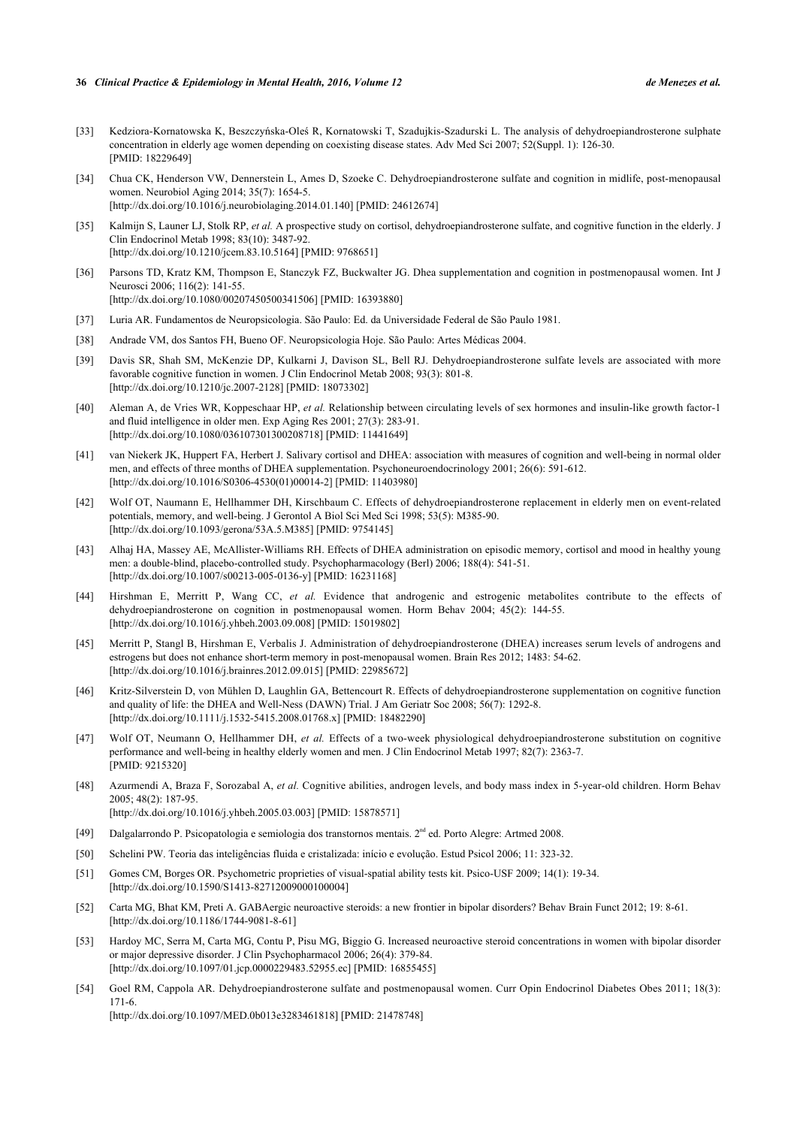#### **36** *Clinical Practice & Epidemiology in Mental Health, 2016, Volume 12 de Menezes et al.*

- <span id="page-12-0"></span>[33] Kedziora-Kornatowska K, Beszczyńska-Oleś R, Kornatowski T, Szadujkis-Szadurski L. The analysis of dehydroepiandrosterone sulphate concentration in elderly age women depending on coexisting disease states. Adv Med Sci 2007; 52(Suppl. 1): 126-30. [PMID: [18229649\]](http://www.ncbi.nlm.nih.gov/pubmed/18229649)
- <span id="page-12-1"></span>[34] Chua CK, Henderson VW, Dennerstein L, Ames D, Szoeke C. Dehydroepiandrosterone sulfate and cognition in midlife, post-menopausal women. Neurobiol Aging 2014; 35(7): 1654-5. [\[http://dx.doi.org/10.1016/j.neurobiolaging.2014.01.140](http://dx.doi.org/10.1016/j.neurobiolaging.2014.01.140)] [PMID: [24612674](http://www.ncbi.nlm.nih.gov/pubmed/24612674)]
- <span id="page-12-3"></span>[35] Kalmijn S, Launer LJ, Stolk RP, *et al.* A prospective study on cortisol, dehydroepiandrosterone sulfate, and cognitive function in the elderly. J Clin Endocrinol Metab 1998; 83(10): 3487-92. [\[http://dx.doi.org/10.1210/jcem.83.10.5164](http://dx.doi.org/10.1210/jcem.83.10.5164)] [PMID: [9768651\]](http://www.ncbi.nlm.nih.gov/pubmed/9768651)
- <span id="page-12-2"></span>[36] Parsons TD, Kratz KM, Thompson E, Stanczyk FZ, Buckwalter JG. Dhea supplementation and cognition in postmenopausal women. Int J Neurosci 2006; 116(2): 141-55. [\[http://dx.doi.org/10.1080/00207450500341506\]](http://dx.doi.org/10.1080/00207450500341506) [PMID: [16393880](http://www.ncbi.nlm.nih.gov/pubmed/16393880)]
- <span id="page-12-4"></span>[37] Luria AR. Fundamentos de Neuropsicologia. São Paulo: Ed. da Universidade Federal de São Paulo 1981.
- <span id="page-12-5"></span>[38] Andrade VM, dos Santos FH, Bueno OF. Neuropsicologia Hoje. São Paulo: Artes Médicas 2004.
- <span id="page-12-6"></span>[39] Davis SR, Shah SM, McKenzie DP, Kulkarni J, Davison SL, Bell RJ. Dehydroepiandrosterone sulfate levels are associated with more favorable cognitive function in women. J Clin Endocrinol Metab 2008; 93(3): 801-8. [\[http://dx.doi.org/10.1210/jc.2007-2128](http://dx.doi.org/10.1210/jc.2007-2128)] [PMID: [18073302\]](http://www.ncbi.nlm.nih.gov/pubmed/18073302)
- <span id="page-12-7"></span>[40] Aleman A, de Vries WR, Koppeschaar HP, *et al.* Relationship between circulating levels of sex hormones and insulin-like growth factor-1 and fluid intelligence in older men. Exp Aging Res 2001; 27(3): 283-91. [\[http://dx.doi.org/10.1080/036107301300208718\]](http://dx.doi.org/10.1080/036107301300208718) [PMID: [11441649](http://www.ncbi.nlm.nih.gov/pubmed/11441649)]
- <span id="page-12-8"></span>[41] van Niekerk JK, Huppert FA, Herbert J. Salivary cortisol and DHEA: association with measures of cognition and well-being in normal older men, and effects of three months of DHEA supplementation. Psychoneuroendocrinology 2001; 26(6): 591-612. [\[http://dx.doi.org/10.1016/S0306-4530\(01\)00014-2\]](http://dx.doi.org/10.1016/S0306-4530(01)00014-2) [PMID: [11403980](http://www.ncbi.nlm.nih.gov/pubmed/11403980)]
- <span id="page-12-9"></span>[42] Wolf OT, Naumann E, Hellhammer DH, Kirschbaum C. Effects of dehydroepiandrosterone replacement in elderly men on event-related potentials, memory, and well-being. J Gerontol A Biol Sci Med Sci 1998; 53(5): M385-90. [\[http://dx.doi.org/10.1093/gerona/53A.5.M385\]](http://dx.doi.org/10.1093/gerona/53A.5.M385) [PMID: [9754145](http://www.ncbi.nlm.nih.gov/pubmed/9754145)]
- <span id="page-12-10"></span>[43] Alhaj HA, Massey AE, McAllister-Williams RH. Effects of DHEA administration on episodic memory, cortisol and mood in healthy young men: a double-blind, placebo-controlled study. Psychopharmacology (Berl) 2006; 188(4): 541-51. [\[http://dx.doi.org/10.1007/s00213-005-0136-y\]](http://dx.doi.org/10.1007/s00213-005-0136-y) [PMID: [16231168](http://www.ncbi.nlm.nih.gov/pubmed/16231168)]
- <span id="page-12-11"></span>[44] Hirshman E, Merritt P, Wang CC, *et al.* Evidence that androgenic and estrogenic metabolites contribute to the effects of dehydroepiandrosterone on cognition in postmenopausal women. Horm Behav 2004; 45(2): 144-55. [\[http://dx.doi.org/10.1016/j.yhbeh.2003.09.008\]](http://dx.doi.org/10.1016/j.yhbeh.2003.09.008) [PMID: [15019802](http://www.ncbi.nlm.nih.gov/pubmed/15019802)]
- <span id="page-12-12"></span>[45] Merritt P, Stangl B, Hirshman E, Verbalis J. Administration of dehydroepiandrosterone (DHEA) increases serum levels of androgens and estrogens but does not enhance short-term memory in post-menopausal women. Brain Res 2012; 1483: 54-62. [\[http://dx.doi.org/10.1016/j.brainres.2012.09.015\]](http://dx.doi.org/10.1016/j.brainres.2012.09.015) [PMID: [22985672](http://www.ncbi.nlm.nih.gov/pubmed/22985672)]
- <span id="page-12-13"></span>[46] Kritz-Silverstein D, von Mühlen D, Laughlin GA, Bettencourt R. Effects of dehydroepiandrosterone supplementation on cognitive function and quality of life: the DHEA and Well-Ness (DAWN) Trial. J Am Geriatr Soc 2008; 56(7): 1292-8. [\[http://dx.doi.org/10.1111/j.1532-5415.2008.01768.x\]](http://dx.doi.org/10.1111/j.1532-5415.2008.01768.x) [PMID: [18482290](http://www.ncbi.nlm.nih.gov/pubmed/18482290)]
- <span id="page-12-14"></span>[47] Wolf OT, Neumann O, Hellhammer DH, et al. Effects of a two-week physiological dehydroepiandrosterone substitution on cognitive performance and well-being in healthy elderly women and men. J Clin Endocrinol Metab 1997; 82(7): 2363-7. [PMID: [9215320\]](http://www.ncbi.nlm.nih.gov/pubmed/9215320)
- <span id="page-12-16"></span>[48] Azurmendi A, Braza F, Sorozabal A, *et al.* Cognitive abilities, androgen levels, and body mass index in 5-year-old children. Horm Behav 2005; 48(2): 187-95. [\[http://dx.doi.org/10.1016/j.yhbeh.2005.03.003\]](http://dx.doi.org/10.1016/j.yhbeh.2005.03.003) [PMID: [15878571](http://www.ncbi.nlm.nih.gov/pubmed/15878571)]
- <span id="page-12-15"></span>[49] Dalgalarrondo P. Psicopatologia e semiologia dos transtornos mentais. 2nd ed. Porto Alegre: Artmed 2008.
- <span id="page-12-17"></span>[50] Schelini PW. Teoria das inteligências fluida e cristalizada: início e evolução. Estud Psicol 2006; 11: 323-32.
- <span id="page-12-18"></span>[51] Gomes CM, Borges OR. Psychometric proprieties of visual-spatial ability tests kit. Psico-USF 2009; 14(1): 19-34. [\[http://dx.doi.org/10.1590/S1413-82712009000100004\]](http://dx.doi.org/10.1590/S1413-82712009000100004)
- <span id="page-12-19"></span>[52] Carta MG, Bhat KM, Preti A. GABAergic neuroactive steroids: a new frontier in bipolar disorders? Behav Brain Funct 2012; 19: 8-61. [\[http://dx.doi.org/10.1186/1744-9081-8-61\]](http://dx.doi.org/10.1186/1744-9081-8-61)
- <span id="page-12-20"></span>[53] Hardoy MC, Serra M, Carta MG, Contu P, Pisu MG, Biggio G. Increased neuroactive steroid concentrations in women with bipolar disorder or major depressive disorder. J Clin Psychopharmacol 2006; 26(4): 379-84. [\[http://dx.doi.org/10.1097/01.jcp.0000229483.52955.ec\]](http://dx.doi.org/10.1097/01.jcp.0000229483.52955.ec) [PMID: [16855455](http://www.ncbi.nlm.nih.gov/pubmed/16855455)]
- <span id="page-12-21"></span>[54] Goel RM, Cappola AR. Dehydroepiandrosterone sulfate and postmenopausal women. Curr Opin Endocrinol Diabetes Obes 2011; 18(3): 171-6.

[\[http://dx.doi.org/10.1097/MED.0b013e3283461818](http://dx.doi.org/10.1097/MED.0b013e3283461818)] [PMID: [21478748\]](http://www.ncbi.nlm.nih.gov/pubmed/21478748)